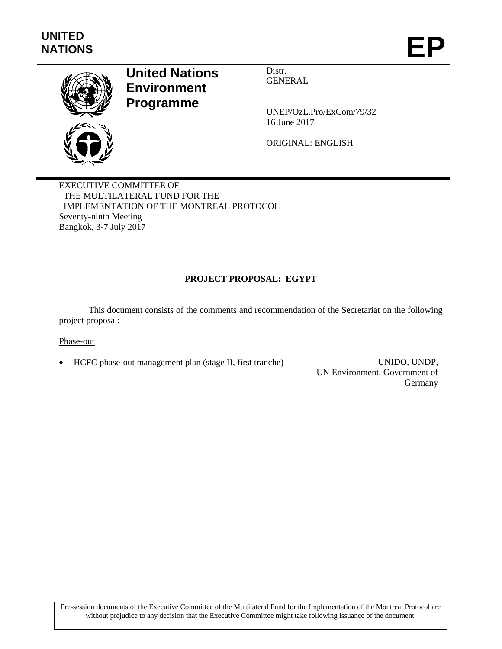

# **United Nations Environment Programme**

Distr. GENERAL

UNEP/OzL.Pro/ExCom/79/32 16 June 2017

ORIGINAL: ENGLISH

EXECUTIVE COMMITTEE OF THE MULTILATERAL FUND FOR THE IMPLEMENTATION OF THE MONTREAL PROTOCOL Seventy-ninth Meeting Bangkok, 3-7 July 2017

# **PROJECT PROPOSAL: EGYPT**

This document consists of the comments and recommendation of the Secretariat on the following project proposal:

#### Phase-out

HCFC phase-out management plan (stage II, first tranche) UNIDO, UNDP,

UN Environment, Government of Germany

Pre-session documents of the Executive Committee of the Multilateral Fund for the Implementation of the Montreal Protocol are without prejudice to any decision that the Executive Committee might take following issuance of the document.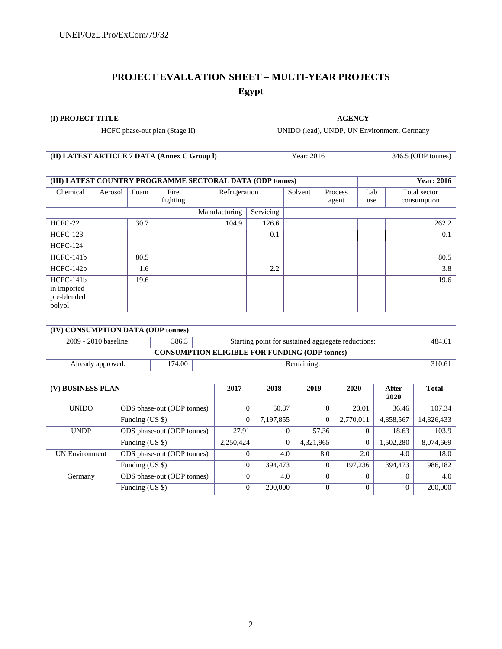# **PROJECT EVALUATION SHEET – MULTI-YEAR PROJECTS Egypt**

| <b>I</b> (I) PROJECT TITLE     | <b>AGENCY</b>                               |  |  |  |  |  |
|--------------------------------|---------------------------------------------|--|--|--|--|--|
| HCFC phase-out plan (Stage II) | UNIDO (lead), UNDP, UN Environment, Germany |  |  |  |  |  |

# **(II) LATEST ARTICLE 7 DATA (Annex C Group l)** Year: 2016 346.5 (ODP tonnes)

| (III) LATEST COUNTRY PROGRAMME SECTORAL DATA (ODP tonnes) |         |      |                  |               |           |         |                  |            | <b>Year: 2016</b>           |
|-----------------------------------------------------------|---------|------|------------------|---------------|-----------|---------|------------------|------------|-----------------------------|
| Chemical                                                  | Aerosol | Foam | Fire<br>fighting | Refrigeration |           | Solvent | Process<br>agent | Lab<br>use | Total sector<br>consumption |
|                                                           |         |      |                  | Manufacturing | Servicing |         |                  |            |                             |
| HCFC-22                                                   |         | 30.7 |                  | 104.9         | 126.6     |         |                  |            | 262.2                       |
| <b>HCFC-123</b>                                           |         |      |                  |               | 0.1       |         |                  |            | 0.1                         |
| <b>HCFC-124</b>                                           |         |      |                  |               |           |         |                  |            |                             |
| $HCFC-141b$                                               |         | 80.5 |                  |               |           |         |                  |            | 80.5                        |
| $HCFC-142b$                                               |         | 1.6  |                  |               | $2.2\,$   |         |                  |            | 3.8                         |
| $HCFC-141b$<br>in imported<br>pre-blended<br>polyol       |         | 19.6 |                  |               |           |         |                  |            | 19.6                        |

| (IV) CONSUMPTION DATA (ODP tonnes)                   |        |                                                    |        |  |  |  |  |  |
|------------------------------------------------------|--------|----------------------------------------------------|--------|--|--|--|--|--|
| 2009 - 2010 baseline:                                | 386.3  | Starting point for sustained aggregate reductions: | 484.61 |  |  |  |  |  |
| <b>CONSUMPTION ELIGIBLE FOR FUNDING (ODP tonnes)</b> |        |                                                    |        |  |  |  |  |  |
| Already approved:                                    | 174.00 | Remaining:                                         | 310.61 |  |  |  |  |  |

| (V) BUSINESS PLAN     |                            | 2017         | 2018           | 2019      | 2020           | After<br>2020 | <b>Total</b> |
|-----------------------|----------------------------|--------------|----------------|-----------|----------------|---------------|--------------|
| <b>UNIDO</b>          | ODS phase-out (ODP tonnes) | $\Omega$     | 50.87          |           | 20.01          | 36.46         | 107.34       |
|                       | Funding (US \$)            | $\mathbf{0}$ | 7,197,855      | $\Omega$  | 2,770,011      | 4,858,567     | 14,826,433   |
| <b>UNDP</b>           | ODS phase-out (ODP tonnes) | 27.91        | $\Omega$       | 57.36     | 0              | 18.63         | 103.9        |
|                       | Funding (US \$)            | 2,250,424    | $\overline{0}$ | 4,321,965 | $\overline{0}$ | 1,502,280     | 8,074,669    |
| <b>UN Environment</b> | ODS phase-out (ODP tonnes) | 0            | 4.0            | 8.0       | 2.0            | 4.0           | 18.0         |
|                       | Funding (US \$)            | 0            | 394,473        | $\Omega$  | 197,236        | 394,473       | 986,182      |
| Germany               | ODS phase-out (ODP tonnes) |              | 4.0            | $\Omega$  | $\theta$       | $\theta$      | 4.0          |
|                       | Funding (US \$)            |              | 200,000        | $\Omega$  | $\Omega$       | $\Omega$      | 200,000      |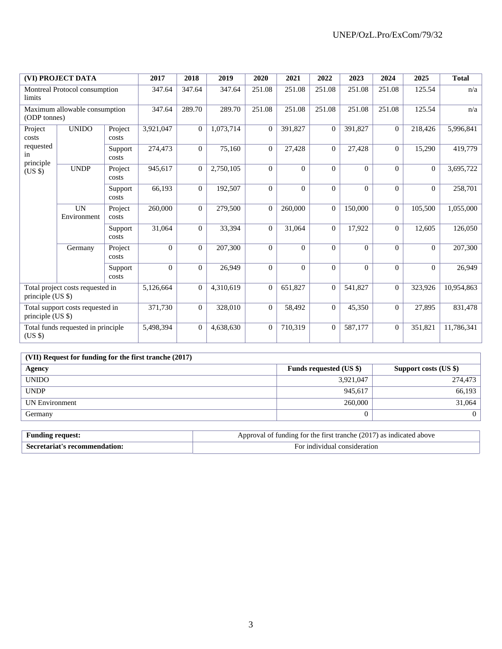|                              | (VI) PROJECT DATA                  |                  | 2017      | 2018           | 2019      | 2020           | 2021     | 2022     | 2023     | 2024           | 2025     | <b>Total</b> |
|------------------------------|------------------------------------|------------------|-----------|----------------|-----------|----------------|----------|----------|----------|----------------|----------|--------------|
| limits                       | Montreal Protocol consumption      |                  | 347.64    | 347.64         | 347.64    | 251.08         | 251.08   | 251.08   | 251.08   | 251.08         | 125.54   | n/a          |
| (ODP tonnes)                 | Maximum allowable consumption      |                  | 347.64    | 289.70         | 289.70    | 251.08         | 251.08   | 251.08   | 251.08   | 251.08         | 125.54   | n/a          |
| Project<br>costs             | <b>UNIDO</b>                       | Project<br>costs | 3,921,047 | $\mathbf{0}$   | 1,073,714 | $\Omega$       | 391,827  | $\Omega$ | 391,827  | $\theta$       | 218,426  | 5,996,841    |
| requested<br>in<br>principle |                                    | Support<br>costs | 274,473   | $\mathbf{0}$   | 75,160    | $\mathbf{0}$   | 27,428   | $\Omega$ | 27,428   | $\Omega$       | 15,290   | 419,779      |
| $(US \$                      | <b>UNDP</b>                        | Project<br>costs | 945,617   | $\mathbf{0}$   | 2,750,105 | $\Omega$       | $\Omega$ | $\Omega$ | $\Omega$ | $\Omega$       | $\theta$ | 3,695,722    |
|                              |                                    | Support<br>costs | 66,193    | $\overline{0}$ | 192,507   | $\overline{0}$ | $\Omega$ | $\Omega$ | $\Omega$ | $\Omega$       | $\Omega$ | 258,701      |
|                              | <b>UN</b><br>Environment           | Project<br>costs | 260,000   | $\overline{0}$ | 279,500   | $\Omega$       | 260,000  | $\Omega$ | 150,000  | $\Omega$       | 105,500  | 1,055,000    |
|                              |                                    | Support<br>costs | 31,064    | $\overline{0}$ | 33,394    | $\overline{0}$ | 31,064   | $\Omega$ | 17,922   | $\Omega$       | 12,605   | 126,050      |
|                              | Germany                            | Project<br>costs | $\Omega$  | $\Omega$       | 207,300   | $\Omega$       | $\Omega$ | $\Omega$ | $\Omega$ | $\Omega$       | $\Omega$ | 207,300      |
|                              |                                    | Support<br>costs | $\Omega$  | $\Omega$       | 26,949    | $\Omega$       | $\Omega$ | $\Omega$ | $\Omega$ | $\Omega$       | $\Omega$ | 26,949       |
| principle (US \$)            | Total project costs requested in   |                  | 5,126,664 | $\mathbf{0}$   | 4,310,619 | $\overline{0}$ | 651,827  | $\Omega$ | 541,827  | $\overline{0}$ | 323,926  | 10,954,863   |
| principle (US \$)            | Total support costs requested in   |                  | 371,730   | $\overline{0}$ | 328,010   | $\mathbf{0}$   | 58,492   | $\Omega$ | 45,350   | $\Omega$       | 27,895   | 831,478      |
| $(US \$                      | Total funds requested in principle |                  | 5,498,394 | $\mathbf{0}$   | 4,638,630 | $\Omega$       | 710,319  | $\Omega$ | 587,177  | $\theta$       | 351,821  | 11,786,341   |

| (VII) Request for funding for the first tranche (2017) |                                |                       |  |  |  |  |  |  |  |
|--------------------------------------------------------|--------------------------------|-----------------------|--|--|--|--|--|--|--|
| Agency                                                 | <b>Funds requested (US \$)</b> | Support costs (US \$) |  |  |  |  |  |  |  |
| <b>UNIDO</b>                                           | 3,921,047                      | 274.473               |  |  |  |  |  |  |  |
| <b>UNDP</b>                                            | 945.617                        | 66.193                |  |  |  |  |  |  |  |
| UN Environment                                         | 260,000                        | 31,064                |  |  |  |  |  |  |  |
| Germany                                                |                                | $\Omega$              |  |  |  |  |  |  |  |

| <b>Funding request:</b>             | Approval of funding for the first tranche (2017) as indicated above |
|-------------------------------------|---------------------------------------------------------------------|
| Secretariat'<br>t's recommendation: | For individual consideration                                        |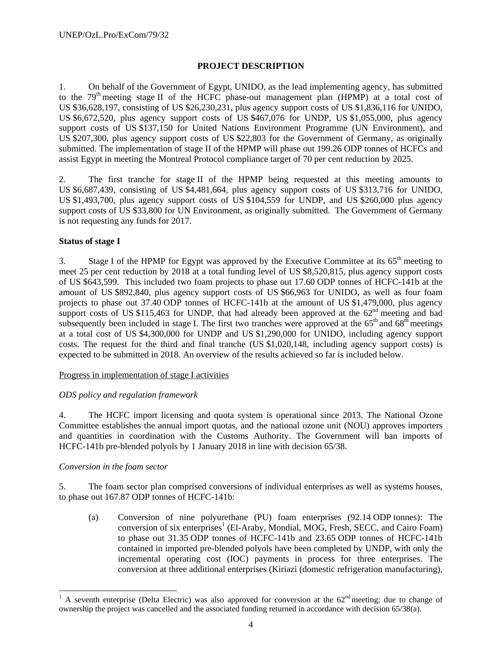# **PROJECT DESCRIPTION**

1. On behalf of the Government of Egypt, UNIDO, as the lead implementing agency, has submitted to the 79<sup>th</sup> meeting stage II of the HCFC phase-out management plan (HPMP) at a total cost of US \$36,628,197, consisting of US \$26,230,231, plus agency support costs of US \$1,836,116 for UNIDO, US \$6,672,520, plus agency support costs of US \$467,076 for UNDP, US \$1,055,000, plus agency support costs of US \$137,150 for United Nations Environment Programme (UN Environment), and US \$207,300, plus agency support costs of US \$22,803 for the Government of Germany, as originally submitted. The implementation of stage II of the HPMP will phase out 199.26 ODP tonnes of HCFCs and assist Egypt in meeting the Montreal Protocol compliance target of 70 per cent reduction by 2025.

2. The first tranche for stage II of the HPMP being requested at this meeting amounts to US \$6,687,439, consisting of US \$4,481,664, plus agency support costs of US \$313,716 for UNIDO, US \$1,493,700, plus agency support costs of US \$104,559 for UNDP, and US \$260,000 plus agency support costs of US \$33,800 for UN Environment, as originally submitted. The Government of Germany is not requesting any funds for 2017.

# **Status of stage I**

3. Stage I of the HPMP for Egypt was approved by the Executive Committee at its 65<sup>th</sup> meeting to meet 25 per cent reduction by 2018 at a total funding level of US \$8,520,815, plus agency support costs of US \$643,599. This included two foam projects to phase out 17.60 ODP tonnes of HCFC-141b at the amount of US \$892,840, plus agency support costs of US \$66,963 for UNIDO, as well as four foam projects to phase out 37.40 ODP tonnes of HCFC-141b at the amount of US \$1,479,000, plus agency support costs of US \$115,463 for UNDP, that had already been approved at the  $62<sup>nd</sup>$  meeting and had subsequently been included in stage I. The first two tranches were approved at the  $65<sup>th</sup>$  and  $68<sup>th</sup>$  meetings at a total cost of US \$4,300,000 for UNDP and US \$1,290,000 for UNIDO, including agency support costs. The request for the third and final tranche (US \$1,020,148, including agency support costs) is expected to be submitted in 2018. An overview of the results achieved so far is included below.

# Progress in implementation of stage I activities

# *ODS policy and regulation framework*

4. The HCFC import licensing and quota system is operational since 2013. The National Ozone Committee establishes the annual import quotas, and the national ozone unit (NOU) approves importers and quantities in coordination with the Customs Authority. The Government will ban imports of HCFC-141b pre-blended polyols by 1 January 2018 in line with decision 65/38.

# *Conversion in the foam sector*

l

5. The foam sector plan comprised conversions of individual enterprises as well as systems houses, to phase out 167.87 ODP tonnes of HCFC-141b:

(a) Conversion of nine polyurethane (PU) foam enterprises (92.14 ODP tonnes): The conversion of six enterprises<sup>1</sup> (El-Araby, Mondial, MOG, Fresh, SECC, and Cairo Foam) to phase out 31.35 ODP tonnes of HCFC-141b and 23.65 ODP tonnes of HCFC-141b contained in imported pre-blended polyols have been completed by UNDP, with only the incremental operating cost (IOC) payments in process for three enterprises. The conversion at three additional enterprises (Kiriazi (domestic refrigeration manufacturing),

<sup>&</sup>lt;sup>1</sup> A seventh enterprise (Delta Electric) was also approved for conversion at the  $62<sup>nd</sup>$  meeting; due to change of ownership the project was cancelled and the associated funding returned in accordance with decision 65/38(a).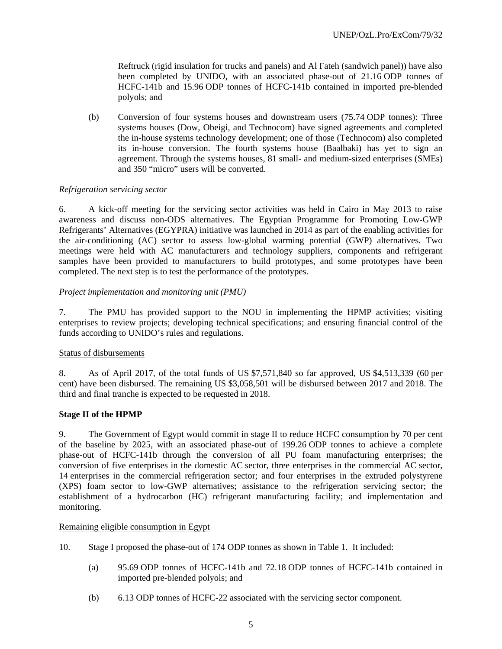Reftruck (rigid insulation for trucks and panels) and Al Fateh (sandwich panel)) have also been completed by UNIDO, with an associated phase-out of 21.16 ODP tonnes of HCFC-141b and 15.96 ODP tonnes of HCFC-141b contained in imported pre-blended polyols; and

(b) Conversion of four systems houses and downstream users (75.74 ODP tonnes): Three systems houses (Dow, Obeigi, and Technocom) have signed agreements and completed the in-house systems technology development; one of those (Technocom) also completed its in-house conversion. The fourth systems house (Baalbaki) has yet to sign an agreement. Through the systems houses, 81 small- and medium-sized enterprises (SMEs) and 350 "micro" users will be converted.

# *Refrigeration servicing sector*

6. A kick-off meeting for the servicing sector activities was held in Cairo in May 2013 to raise awareness and discuss non-ODS alternatives. The Egyptian Programme for Promoting Low-GWP Refrigerants' Alternatives (EGYPRA) initiative was launched in 2014 as part of the enabling activities for the air-conditioning (AC) sector to assess low-global warming potential (GWP) alternatives. Two meetings were held with AC manufacturers and technology suppliers, components and refrigerant samples have been provided to manufacturers to build prototypes, and some prototypes have been completed. The next step is to test the performance of the prototypes.

# *Project implementation and monitoring unit (PMU)*

7. The PMU has provided support to the NOU in implementing the HPMP activities; visiting enterprises to review projects; developing technical specifications; and ensuring financial control of the funds according to UNIDO's rules and regulations.

#### Status of disbursements

8. As of April 2017, of the total funds of US \$7,571,840 so far approved, US \$4,513,339 (60 per cent) have been disbursed. The remaining US \$3,058,501 will be disbursed between 2017 and 2018. The third and final tranche is expected to be requested in 2018.

# **Stage II of the HPMP**

9. The Government of Egypt would commit in stage II to reduce HCFC consumption by 70 per cent of the baseline by 2025, with an associated phase-out of 199.26 ODP tonnes to achieve a complete phase-out of HCFC-141b through the conversion of all PU foam manufacturing enterprises; the conversion of five enterprises in the domestic AC sector, three enterprises in the commercial AC sector, 14 enterprises in the commercial refrigeration sector; and four enterprises in the extruded polystyrene (XPS) foam sector to low-GWP alternatives; assistance to the refrigeration servicing sector; the establishment of a hydrocarbon (HC) refrigerant manufacturing facility; and implementation and monitoring.

# Remaining eligible consumption in Egypt

- 10. Stage I proposed the phase-out of 174 ODP tonnes as shown in Table 1. It included:
	- (a) 95.69 ODP tonnes of HCFC-141b and 72.18 ODP tonnes of HCFC-141b contained in imported pre-blended polyols; and
	- (b) 6.13 ODP tonnes of HCFC-22 associated with the servicing sector component.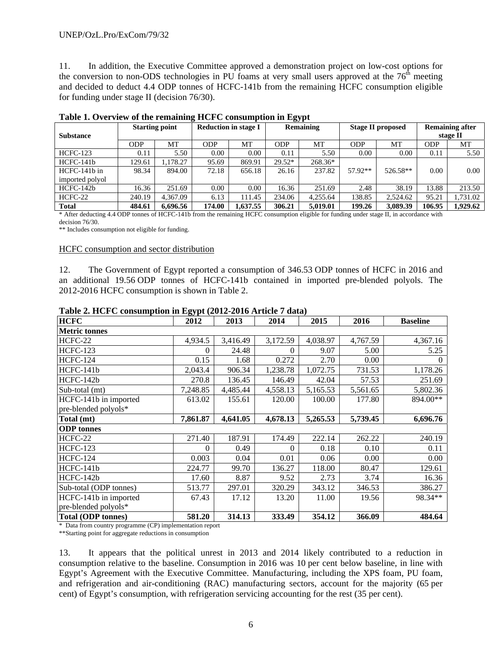11. In addition, the Executive Committee approved a demonstration project on low-cost options for the conversion to non-ODS technologies in PU foams at very small users approved at the  $76<sup>th</sup>$  meeting and decided to deduct 4.4 ODP tonnes of HCFC-141b from the remaining HCFC consumption eligible for funding under stage II (decision 76/30).

|                  | <b>Starting point</b> |          | <b>Reduction in stage I</b> |          | Remaining  |          | <b>Stage II proposed</b> |          | <b>Remaining after</b> |          |
|------------------|-----------------------|----------|-----------------------------|----------|------------|----------|--------------------------|----------|------------------------|----------|
| <b>Substance</b> |                       |          |                             |          |            |          |                          |          | stage II               |          |
|                  | <b>ODP</b>            | МT       | <b>ODP</b>                  | МT       | <b>ODP</b> | MT       | <b>ODP</b>               | MT       | <b>ODP</b>             | МT       |
| <b>HCFC-123</b>  | 0.11                  | 5.50     | 0.00                        | 0.00     | 0.11       | 5.50     | 0.00                     | 0.00     | 0.11                   | 5.50     |
| $HCFC-141b$      | 129.61                | 1.178.27 | 95.69                       | 869.91   | 29.52*     | 268.36*  |                          |          |                        |          |
| $HCFC-141b$ in   | 98.34                 | 894.00   | 72.18                       | 656.18   | 26.16      | 237.82   | 57.92**                  | 526.58** | 0.00                   | $0.00\,$ |
| imported polyol  |                       |          |                             |          |            |          |                          |          |                        |          |
| $HCFC-142b$      | 16.36                 | 251.69   | 0.00                        | 0.00     | 16.36      | 251.69   | 2.48                     | 38.19    | 13.88                  | 213.50   |
| HCFC-22          | 240.19                | 4,367.09 | 6.13                        | 111.45   | 234.06     | 4,255.64 | 138.85                   | 2.524.62 | 95.21                  | 1,731.02 |
| <b>Total</b>     | 484.61                | 6.696.56 | 174.00                      | 1.637.55 | 306.21     | 5,019.01 | 199.26                   | 3.089.39 | 106.95                 | 1.929.62 |

**Table 1. Overview of the remaining HCFC consumption in Egypt** 

\* After deducting 4.4 ODP tonnes of HCFC-141b from the remaining HCFC consumption eligible for funding under stage II, in accordance with decision 76/30.

\*\* Includes consumption not eligible for funding.

#### HCFC consumption and sector distribution

12. The Government of Egypt reported a consumption of 346.53 ODP tonnes of HCFC in 2016 and an additional 19.56 ODP tonnes of HCFC-141b contained in imported pre-blended polyols. The 2012-2016 HCFC consumption is shown in Table 2.

| <b>HCFC</b>               | 2012     | 2013     | 2014     | 2015     | 2016     | <b>Baseline</b> |
|---------------------------|----------|----------|----------|----------|----------|-----------------|
| <b>Metric tonnes</b>      |          |          |          |          |          |                 |
| HCFC-22                   | 4,934.5  | 3,416.49 | 3,172.59 | 4,038.97 | 4,767.59 | 4,367.16        |
| <b>HCFC-123</b>           | $\Omega$ | 24.48    | 0        | 9.07     | 5.00     | 5.25            |
| <b>HCFC-124</b>           | 0.15     | 1.68     | 0.272    | 2.70     | 0.00     | $\Omega$        |
| HCFC-141b                 | 2,043.4  | 906.34   | 1,238.78 | 1,072.75 | 731.53   | 1,178.26        |
| HCFC-142b                 | 270.8    | 136.45   | 146.49   | 42.04    | 57.53    | 251.69          |
| Sub-total (mt)            | 7,248.85 | 4,485.44 | 4,558.13 | 5,165.53 | 5,561.65 | 5,802.36        |
| HCFC-141b in imported     | 613.02   | 155.61   | 120.00   | 100.00   | 177.80   | 894.00**        |
| pre-blended polyols*      |          |          |          |          |          |                 |
| Total (mt)                | 7,861.87 | 4,641.05 | 4,678.13 | 5,265.53 | 5,739.45 | 6,696.76        |
| <b>ODP</b> tonnes         |          |          |          |          |          |                 |
| HCFC-22                   | 271.40   | 187.91   | 174.49   | 222.14   | 262.22   | 240.19          |
| <b>HCFC-123</b>           | $\Omega$ | 0.49     | 0        | 0.18     | 0.10     | 0.11            |
| <b>HCFC-124</b>           | 0.003    | 0.04     | 0.01     | 0.06     | 0.00     | 0.00            |
| HCFC-141b                 | 224.77   | 99.70    | 136.27   | 118.00   | 80.47    | 129.61          |
| HCFC-142b                 | 17.60    | 8.87     | 9.52     | 2.73     | 3.74     | 16.36           |
| Sub-total (ODP tonnes)    | 513.77   | 297.01   | 320.29   | 343.12   | 346.53   | 386.27          |
| HCFC-141b in imported     | 67.43    | 17.12    | 13.20    | 11.00    | 19.56    | 98.34**         |
| pre-blended polyols*      |          |          |          |          |          |                 |
| <b>Total (ODP tonnes)</b> | 581.20   | 314.13   | 333.49   | 354.12   | 366.09   | 484.64          |

#### **Table 2. HCFC consumption in Egypt (2012-2016 Article 7 data)**

\* Data from country programme (CP) implementation report

\*\*Starting point for aggregate reductions in consumption

13. It appears that the political unrest in 2013 and 2014 likely contributed to a reduction in consumption relative to the baseline. Consumption in 2016 was 10 per cent below baseline, in line with Egypt's Agreement with the Executive Committee. Manufacturing, including the XPS foam, PU foam, and refrigeration and air-conditioning (RAC) manufacturing sectors, account for the majority (65 per cent) of Egypt's consumption, with refrigeration servicing accounting for the rest (35 per cent).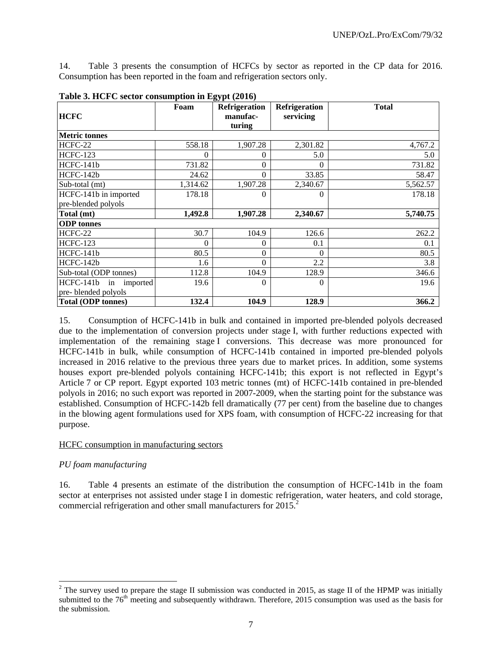14. Table 3 presents the consumption of HCFCs by sector as reported in the CP data for 2016. Consumption has been reported in the foam and refrigeration sectors only.

|                           | Foam     | <b>Refrigeration</b> | Refrigeration | <b>Total</b> |
|---------------------------|----------|----------------------|---------------|--------------|
| <b>HCFC</b>               |          | manufac-             | servicing     |              |
|                           |          | turing               |               |              |
| <b>Metric tonnes</b>      |          |                      |               |              |
| HCFC-22                   | 558.18   | 1,907.28             | 2,301.82      | 4,767.2      |
| <b>HCFC-123</b>           | 0        | 0                    | 5.0           | 5.0          |
| HCFC-141b                 | 731.82   | $\theta$             | 0             | 731.82       |
| HCFC-142b                 | 24.62    | $\Omega$             | 33.85         | 58.47        |
| Sub-total (mt)            | 1,314.62 | 1,907.28             | 2,340.67      | 5,562.57     |
| HCFC-141b in imported     | 178.18   | $\Omega$             | 0             | 178.18       |
| pre-blended polyols       |          |                      |               |              |
| Total (mt)                | 1,492.8  | 1,907.28             | 2,340.67      | 5,740.75     |
| <b>ODP</b> tonnes         |          |                      |               |              |
| HCFC-22                   | 30.7     | 104.9                | 126.6         | 262.2        |
| <b>HCFC-123</b>           | 0        | $\Omega$             | 0.1           | 0.1          |
| HCFC-141b                 | 80.5     | $\overline{0}$       | 0             | 80.5         |
| HCFC-142b                 | 1.6      | $\Omega$             | 2.2           | 3.8          |
| Sub-total (ODP tonnes)    | 112.8    | 104.9                | 128.9         | 346.6        |
| HCFC-141b in imported     | 19.6     | $\Omega$             | 0             | 19.6         |
| pre-blended polyols       |          |                      |               |              |
| <b>Total (ODP tonnes)</b> | 132.4    | 104.9                | 128.9         | 366.2        |

**Table 3. HCFC sector consumption in Egypt (2016)** 

15. Consumption of HCFC-141b in bulk and contained in imported pre-blended polyols decreased due to the implementation of conversion projects under stage I, with further reductions expected with implementation of the remaining stage I conversions. This decrease was more pronounced for HCFC-141b in bulk, while consumption of HCFC-141b contained in imported pre-blended polyols increased in 2016 relative to the previous three years due to market prices. In addition, some systems houses export pre-blended polyols containing HCFC-141b; this export is not reflected in Egypt's Article 7 or CP report. Egypt exported 103 metric tonnes (mt) of HCFC-141b contained in pre-blended polyols in 2016; no such export was reported in 2007-2009, when the starting point for the substance was established. Consumption of HCFC-142b fell dramatically (77 per cent) from the baseline due to changes in the blowing agent formulations used for XPS foam, with consumption of HCFC-22 increasing for that purpose.

# HCFC consumption in manufacturing sectors

# *PU foam manufacturing*

1

16. Table 4 presents an estimate of the distribution the consumption of HCFC-141b in the foam sector at enterprises not assisted under stage I in domestic refrigeration, water heaters, and cold storage, commercial refrigeration and other small manufacturers for 2015.<sup>2</sup>

<sup>&</sup>lt;sup>2</sup> The survey used to prepare the stage II submission was conducted in 2015, as stage II of the HPMP was initially submitted to the  $76<sup>th</sup>$  meeting and subsequently withdrawn. Therefore, 2015 consumption was used as the basis for the submission.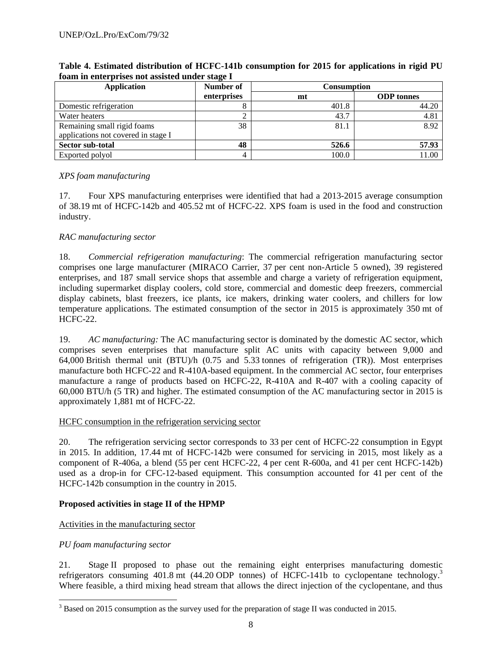| <b>Application</b>                  | Number of   | <b>Consumption</b> |                   |  |  |
|-------------------------------------|-------------|--------------------|-------------------|--|--|
|                                     | enterprises | mt                 | <b>ODP</b> tonnes |  |  |
| Domestic refrigeration              |             | 401.8              | 44.20             |  |  |
| Water heaters                       |             | 43.7               | 4.81              |  |  |
| Remaining small rigid foams         | 38          | 81.1               | 8.92              |  |  |
| applications not covered in stage I |             |                    |                   |  |  |
| Sector sub-total                    | 48          | 526.6              | 57.93             |  |  |
| Exported polyol                     |             | 100.0              | 1.00              |  |  |

**Table 4. Estimated distribution of HCFC-141b consumption for 2015 for applications in rigid PU foam in enterprises not assisted under stage I**

# *XPS foam manufacturing*

17. Four XPS manufacturing enterprises were identified that had a 2013-2015 average consumption of 38.19 mt of HCFC-142b and 405.52 mt of HCFC-22. XPS foam is used in the food and construction industry.

# *RAC manufacturing sector*

18. *Commercial refrigeration manufacturing*: The commercial refrigeration manufacturing sector comprises one large manufacturer (MIRACO Carrier, 37 per cent non-Article 5 owned), 39 registered enterprises, and 187 small service shops that assemble and charge a variety of refrigeration equipment, including supermarket display coolers, cold store, commercial and domestic deep freezers, commercial display cabinets, blast freezers, ice plants, ice makers, drinking water coolers, and chillers for low temperature applications. The estimated consumption of the sector in 2015 is approximately 350 mt of HCFC-22.

19. *AC manufacturing:* The AC manufacturing sector is dominated by the domestic AC sector, which comprises seven enterprises that manufacture split AC units with capacity between 9,000 and 64,000 British thermal unit (BTU)/h (0.75 and 5.33 tonnes of refrigeration (TR)). Most enterprises manufacture both HCFC-22 and R-410A-based equipment. In the commercial AC sector, four enterprises manufacture a range of products based on HCFC-22, R-410A and R-407 with a cooling capacity of 60,000 BTU/h (5 TR) and higher. The estimated consumption of the AC manufacturing sector in 2015 is approximately 1,881 mt of HCFC-22.

# HCFC consumption in the refrigeration servicing sector

20. The refrigeration servicing sector corresponds to 33 per cent of HCFC-22 consumption in Egypt in 2015. In addition, 17.44 mt of HCFC-142b were consumed for servicing in 2015, most likely as a component of R-406a, a blend (55 per cent HCFC-22, 4 per cent R-600a, and 41 per cent HCFC-142b) used as a drop-in for CFC-12-based equipment. This consumption accounted for 41 per cent of the HCFC-142b consumption in the country in 2015.

# **Proposed activities in stage II of the HPMP**

# Activities in the manufacturing sector

# *PU foam manufacturing sector*

21. Stage II proposed to phase out the remaining eight enterprises manufacturing domestic refrigerators consuming 401.8 mt (44.20 ODP tonnes) of HCFC-141b to cyclopentane technology.<sup>3</sup> Where feasible, a third mixing head stream that allows the direct injection of the cyclopentane, and thus

<sup>&</sup>lt;sup>3</sup> Based on 2015 consumption as the survey used for the preparation of stage II was conducted in 2015.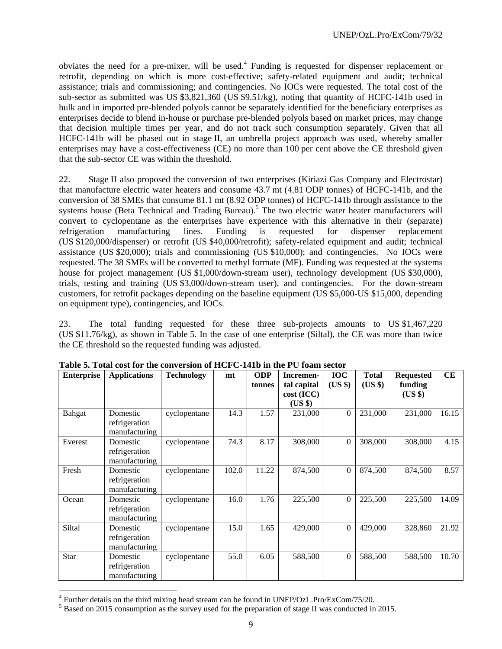obviates the need for a pre-mixer, will be used.<sup>4</sup> Funding is requested for dispenser replacement or retrofit, depending on which is more cost-effective; safety-related equipment and audit; technical assistance; trials and commissioning; and contingencies. No IOCs were requested. The total cost of the sub-sector as submitted was US \$3,821,360 (US \$9.51/kg), noting that quantity of HCFC-141b used in bulk and in imported pre-blended polyols cannot be separately identified for the beneficiary enterprises as enterprises decide to blend in-house or purchase pre-blended polyols based on market prices, may change that decision multiple times per year, and do not track such consumption separately. Given that all HCFC-141b will be phased out in stage II, an umbrella project approach was used, whereby smaller enterprises may have a cost-effectiveness (CE) no more than 100 per cent above the CE threshold given that the sub-sector CE was within the threshold.

22. Stage II also proposed the conversion of two enterprises (Kiriazi Gas Company and Electrostar) that manufacture electric water heaters and consume 43.7 mt (4.81 ODP tonnes) of HCFC-141b, and the conversion of 38 SMEs that consume 81.1 mt (8.92 ODP tonnes) of HCFC-141b through assistance to the systems house (Beta Technical and Trading Bureau).<sup>5</sup> The two electric water heater manufacturers will convert to cyclopentane as the enterprises have experience with this alternative in their (separate) refrigeration manufacturing lines. Funding is requested for dispenser replacement (US \$120,000/dispenser) or retrofit (US \$40,000/retrofit); safety-related equipment and audit; technical assistance (US \$20,000); trials and commissioning (US \$10,000); and contingencies. No IOCs were requested. The 38 SMEs will be converted to methyl formate (MF). Funding was requested at the systems house for project management (US \$1,000/down-stream user), technology development (US \$30,000), trials, testing and training (US \$3,000/down-stream user), and contingencies. For the down-stream customers, for retrofit packages depending on the baseline equipment (US \$5,000-US \$15,000, depending on equipment type), contingencies, and IOCs.

23. The total funding requested for these three sub-projects amounts to US \$1,467,220 (US \$11.76/kg), as shown in Table 5. In the case of one enterprise (Siltal), the CE was more than twice the CE threshold so the requested funding was adjusted.

| <b>Enterprise</b> | <b>Applications</b>                        | <b>Technology</b> | mt    | <b>ODP</b><br>tonnes | Incremen-<br>tal capital<br>cost (ICC) | <b>IOC</b><br>(US \$) | Total<br>$(US \$ | <b>Requested</b><br>funding<br>(US \$) | CE    |
|-------------------|--------------------------------------------|-------------------|-------|----------------------|----------------------------------------|-----------------------|------------------|----------------------------------------|-------|
|                   |                                            |                   |       |                      | (US \$)                                |                       |                  |                                        |       |
| <b>Bahgat</b>     | Domestic<br>refrigeration<br>manufacturing | cyclopentane      | 14.3  | 1.57                 | 231,000                                | $\theta$              | 231,000          | 231,000                                | 16.15 |
| Everest           | Domestic<br>refrigeration<br>manufacturing | cyclopentane      | 74.3  | 8.17                 | 308,000                                | $\theta$              | 308,000          | 308,000                                | 4.15  |
| Fresh             | Domestic<br>refrigeration<br>manufacturing | cyclopentane      | 102.0 | 11.22                | 874,500                                | $\theta$              | 874,500          | 874,500                                | 8.57  |
| Ocean             | Domestic<br>refrigeration<br>manufacturing | cyclopentane      | 16.0  | 1.76                 | 225,500                                | $\boldsymbol{0}$      | 225,500          | 225,500                                | 14.09 |
| Siltal            | Domestic<br>refrigeration<br>manufacturing | cyclopentane      | 15.0  | 1.65                 | 429,000                                | $\overline{0}$        | 429,000          | 328,860                                | 21.92 |
| Star              | Domestic<br>refrigeration<br>manufacturing | cyclopentane      | 55.0  | 6.05                 | 588,500                                | $\theta$              | 588,500          | 588,500                                | 10.70 |

**Table 5. Total cost for the conversion of HCFC-141b in the PU foam sector** 

l

 $4$  Further details on the third mixing head stream can be found in UNEP/OzL.Pro/ExCom/75/20.

<sup>&</sup>lt;sup>5</sup> Based on 2015 consumption as the survey used for the preparation of stage II was conducted in 2015.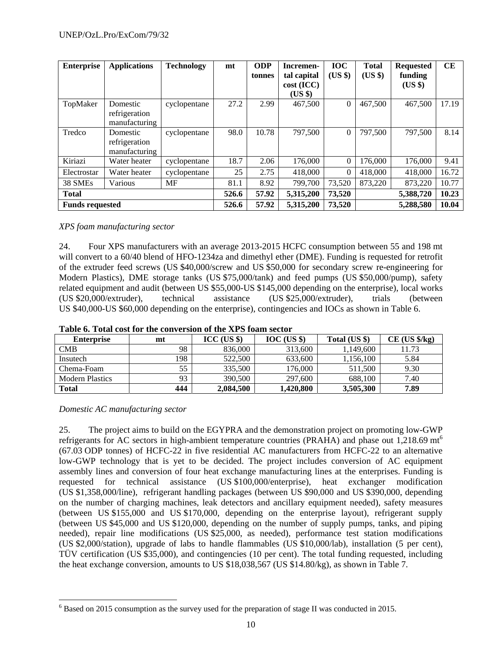| <b>Enterprise</b>      | <b>Applications</b>                        | <b>Technology</b> | mt    | <b>ODP</b><br>tonnes | Incremen-<br>tal capital<br>cost (ICC)<br>(US \$) | <b>IOC</b><br>$(US \$ | <b>Total</b><br>$(US \$ | <b>Requested</b><br>funding<br>$(US \$ | CE    |
|------------------------|--------------------------------------------|-------------------|-------|----------------------|---------------------------------------------------|-----------------------|-------------------------|----------------------------------------|-------|
| TopMaker               | Domestic<br>refrigeration<br>manufacturing | cyclopentane      | 27.2  | 2.99                 | 467,500                                           | $\theta$              | 467,500                 | 467,500                                | 17.19 |
| Tredco                 | Domestic<br>refrigeration<br>manufacturing | cyclopentane      | 98.0  | 10.78                | 797,500                                           | $\overline{0}$        | 797,500                 | 797,500                                | 8.14  |
| Kiriazi                | Water heater                               | cyclopentane      | 18.7  | 2.06                 | 176,000                                           | $\theta$              | 176,000                 | 176,000                                | 9.41  |
| Electrostar            | Water heater                               | cyclopentane      | 25    | 2.75                 | 418,000                                           | $\Omega$              | 418,000                 | 418,000                                | 16.72 |
| 38 SMEs                | Various                                    | MF                | 81.1  | 8.92                 | 799,700                                           | 73,520                | 873,220                 | 873,220                                | 10.77 |
| <b>Total</b>           |                                            |                   | 526.6 | 57.92                | 5,315,200                                         | 73,520                |                         | 5,388,720                              | 10.23 |
| <b>Funds requested</b> |                                            |                   | 526.6 | 57.92                | 5,315,200                                         | 73,520                |                         | 5,288,580                              | 10.04 |

*XPS foam manufacturing sector* 

24. Four XPS manufacturers with an average 2013-2015 HCFC consumption between 55 and 198 mt will convert to a 60/40 blend of HFO-1234za and dimethyl ether (DME). Funding is requested for retrofit of the extruder feed screws (US \$40,000/screw and US \$50,000 for secondary screw re-engineering for Modern Plastics), DME storage tanks (US \$75,000/tank) and feed pumps (US \$50,000/pump), safety related equipment and audit (between US \$55,000-US \$145,000 depending on the enterprise), local works (US \$20,000/extruder), technical assistance (US \$25,000/extruder), trials (between US \$40,000-US \$60,000 depending on the enterprise), contingencies and IOCs as shown in Table 6.

| rabic v. rotal cost for the conversion of the Art Broam sector |     |                      |             |               |                             |  |  |  |  |  |
|----------------------------------------------------------------|-----|----------------------|-------------|---------------|-----------------------------|--|--|--|--|--|
| <b>Enterprise</b>                                              | mt  | $\text{ICC}$ (US \$) | IOC (US \$) | Total (US \$) | $CE$ (US $\frac{1}{2}$ /kg) |  |  |  |  |  |
| <b>CMB</b>                                                     | 98  | 836,000              | 313,600     | 1.149.600     | 11.73                       |  |  |  |  |  |
| Insutech                                                       | 198 | 522,500              | 633.600     | 1,156,100     | 5.84                        |  |  |  |  |  |
| Chema-Foam                                                     | 55  | 335,500              | 176.000     | 511,500       | 9.30                        |  |  |  |  |  |
| <b>Modern Plastics</b>                                         | 93  | 390,500              | 297,600     | 688.100       | 7.40                        |  |  |  |  |  |
| <b>Total</b>                                                   | 444 | 2,084,500            | 1,420,800   | 3,505,300     | 7.89                        |  |  |  |  |  |

**Table 6. Total cost for the conversion of the XPS foam sector** 

# *Domestic AC manufacturing sector*

25. The project aims to build on the EGYPRA and the demonstration project on promoting low-GWP refrigerants for AC sectors in high-ambient temperature countries (PRAHA) and phase out 1,218.69  $\text{m}^6$ (67.03 ODP tonnes) of HCFC-22 in five residential AC manufacturers from HCFC-22 to an alternative low-GWP technology that is yet to be decided. The project includes conversion of AC equipment assembly lines and conversion of four heat exchange manufacturing lines at the enterprises. Funding is requested for technical assistance (US \$100,000/enterprise), heat exchanger modification (US \$1,358,000/line), refrigerant handling packages (between US \$90,000 and US \$390,000, depending on the number of charging machines, leak detectors and ancillary equipment needed), safety measures (between US \$155,000 and US \$170,000, depending on the enterprise layout), refrigerant supply (between US \$45,000 and US \$120,000, depending on the number of supply pumps, tanks, and piping needed), repair line modifications (US \$25,000, as needed), performance test station modifications (US \$2,000/station), upgrade of labs to handle flammables (US \$10,000/lab), installation (5 per cent), TÜV certification (US \$35,000), and contingencies (10 per cent). The total funding requested, including the heat exchange conversion, amounts to US \$18,038,567 (US \$14.80/kg), as shown in Table 7.

<sup>&</sup>lt;sup>6</sup> Based on 2015 consumption as the survey used for the preparation of stage II was conducted in 2015.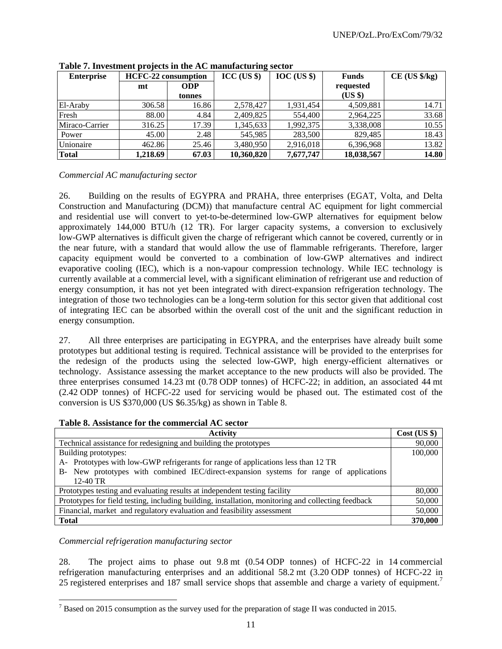| <b>Enterprise</b> | <b>HCFC-22</b> consumption |        | $\text{ICC}$ (US \$) | IOC (US \$) | <b>Funds</b> | $CE$ (US $\frac{5}{kg}$ ) |
|-------------------|----------------------------|--------|----------------------|-------------|--------------|---------------------------|
|                   | mt                         | ODP    |                      |             | requested    |                           |
|                   |                            | tonnes |                      |             | $(US \$      |                           |
| El-Araby          | 306.58                     | 16.86  | 2,578,427            | 1.931.454   | 4.509.881    | 14.71                     |
| Fresh             | 88.00                      | 4.84   | 2,409,825            | 554,400     | 2,964,225    | 33.68                     |
| Miraco-Carrier    | 316.25                     | 17.39  | 1,345,633            | 1,992,375   | 3,338,008    | 10.55                     |
| Power             | 45.00                      | 2.48   | 545,985              | 283.500     | 829.485      | 18.43                     |
| Unionaire         | 462.86                     | 25.46  | 3,480,950            | 2,916,018   | 6,396,968    | 13.82                     |
| <b>Total</b>      | 1,218.69                   | 67.03  | 10,360,820           | 7,677,747   | 18,038,567   | 14.80                     |

**Table 7. Investment projects in the AC manufacturing sector** 

### *Commercial AC manufacturing sector*

26. Building on the results of EGYPRA and PRAHA, three enterprises (EGAT, Volta, and Delta Construction and Manufacturing (DCM)) that manufacture central AC equipment for light commercial and residential use will convert to yet-to-be-determined low-GWP alternatives for equipment below approximately 144,000 BTU/h (12 TR). For larger capacity systems, a conversion to exclusively low-GWP alternatives is difficult given the charge of refrigerant which cannot be covered, currently or in the near future, with a standard that would allow the use of flammable refrigerants. Therefore, larger capacity equipment would be converted to a combination of low-GWP alternatives and indirect evaporative cooling (IEC), which is a non-vapour compression technology. While IEC technology is currently available at a commercial level, with a significant elimination of refrigerant use and reduction of energy consumption, it has not yet been integrated with direct-expansion refrigeration technology. The integration of those two technologies can be a long-term solution for this sector given that additional cost of integrating IEC can be absorbed within the overall cost of the unit and the significant reduction in energy consumption.

27. All three enterprises are participating in EGYPRA, and the enterprises have already built some prototypes but additional testing is required. Technical assistance will be provided to the enterprises for the redesign of the products using the selected low-GWP, high energy-efficient alternatives or technology. Assistance assessing the market acceptance to the new products will also be provided. The three enterprises consumed 14.23 mt (0.78 ODP tonnes) of HCFC-22; in addition, an associated 44 mt (2.42 ODP tonnes) of HCFC-22 used for servicing would be phased out. The estimated cost of the conversion is US \$370,000 (US \$6.35/kg) as shown in Table 8.

| Table 8. Assistance for the commercial AC sector |
|--------------------------------------------------|
|--------------------------------------------------|

| <b>Activity</b>                                                                                    |         |  |  |  |  |  |
|----------------------------------------------------------------------------------------------------|---------|--|--|--|--|--|
| Technical assistance for redesigning and building the prototypes                                   |         |  |  |  |  |  |
| Building prototypes:                                                                               |         |  |  |  |  |  |
| A- Prototypes with low-GWP refrigerants for range of applications less than 12 TR                  |         |  |  |  |  |  |
| New prototypes with combined IEC/direct-expansion systems for range of applications<br>$B-$        |         |  |  |  |  |  |
| $12-40$ TR                                                                                         |         |  |  |  |  |  |
| Prototypes testing and evaluating results at independent testing facility                          | 80,000  |  |  |  |  |  |
| Prototypes for field testing, including building, installation, monitoring and collecting feedback |         |  |  |  |  |  |
| Financial, market and regulatory evaluation and feasibility assessment                             |         |  |  |  |  |  |
| <b>Total</b>                                                                                       | 370,000 |  |  |  |  |  |

*Commercial refrigeration manufacturing sector* 

28. The project aims to phase out 9.8 mt (0.54 ODP tonnes) of HCFC-22 in 14 commercial refrigeration manufacturing enterprises and an additional 58.2 mt (3.20 ODP tonnes) of HCFC-22 in 25 registered enterprises and 187 small service shops that assemble and charge a variety of equipment.<sup>7</sup>

<sup>&</sup>lt;sup>7</sup> Based on 2015 consumption as the survey used for the preparation of stage II was conducted in 2015.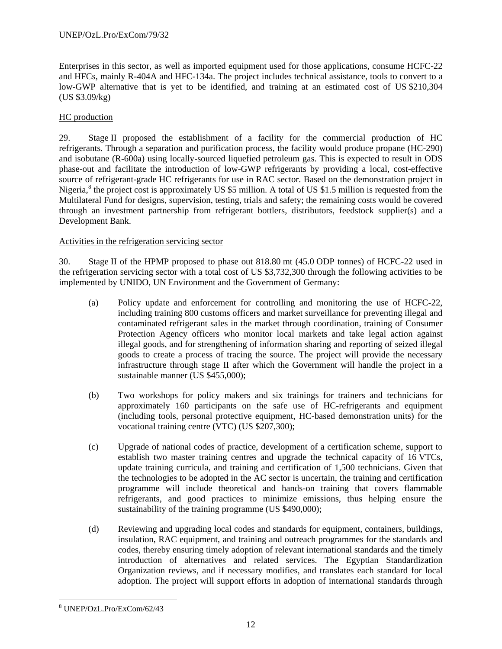Enterprises in this sector, as well as imported equipment used for those applications, consume HCFC-22 and HFCs, mainly R-404A and HFC-134a. The project includes technical assistance, tools to convert to a low-GWP alternative that is yet to be identified, and training at an estimated cost of US \$210,304 (US \$3.09/kg)

# HC production

29. Stage II proposed the establishment of a facility for the commercial production of HC refrigerants. Through a separation and purification process, the facility would produce propane (HC-290) and isobutane (R-600a) using locally-sourced liquefied petroleum gas. This is expected to result in ODS phase-out and facilitate the introduction of low-GWP refrigerants by providing a local, cost-effective source of refrigerant-grade HC refrigerants for use in RAC sector. Based on the demonstration project in Nigeria,<sup>8</sup> the project cost is approximately US \$5 million. A total of US \$1.5 million is requested from the Multilateral Fund for designs, supervision, testing, trials and safety; the remaining costs would be covered through an investment partnership from refrigerant bottlers, distributors, feedstock supplier(s) and a Development Bank.

# Activities in the refrigeration servicing sector

30. Stage II of the HPMP proposed to phase out 818.80 mt (45.0 ODP tonnes) of HCFC-22 used in the refrigeration servicing sector with a total cost of US \$3,732,300 through the following activities to be implemented by UNIDO, UN Environment and the Government of Germany:

- (a) Policy update and enforcement for controlling and monitoring the use of HCFC-22, including training 800 customs officers and market surveillance for preventing illegal and contaminated refrigerant sales in the market through coordination, training of Consumer Protection Agency officers who monitor local markets and take legal action against illegal goods, and for strengthening of information sharing and reporting of seized illegal goods to create a process of tracing the source. The project will provide the necessary infrastructure through stage II after which the Government will handle the project in a sustainable manner (US \$455,000);
- (b) Two workshops for policy makers and six trainings for trainers and technicians for approximately 160 participants on the safe use of HC-refrigerants and equipment (including tools, personal protective equipment, HC-based demonstration units) for the vocational training centre (VTC) (US \$207,300);
- (c) Upgrade of national codes of practice, development of a certification scheme, support to establish two master training centres and upgrade the technical capacity of 16 VTCs, update training curricula, and training and certification of 1,500 technicians. Given that the technologies to be adopted in the AC sector is uncertain, the training and certification programme will include theoretical and hands-on training that covers flammable refrigerants, and good practices to minimize emissions, thus helping ensure the sustainability of the training programme (US \$490,000);
- (d) Reviewing and upgrading local codes and standards for equipment, containers, buildings, insulation, RAC equipment, and training and outreach programmes for the standards and codes, thereby ensuring timely adoption of relevant international standards and the timely introduction of alternatives and related services. The Egyptian Standardization Organization reviews, and if necessary modifies, and translates each standard for local adoption. The project will support efforts in adoption of international standards through

l

<sup>8</sup> UNEP/OzL.Pro/ExCom/62/43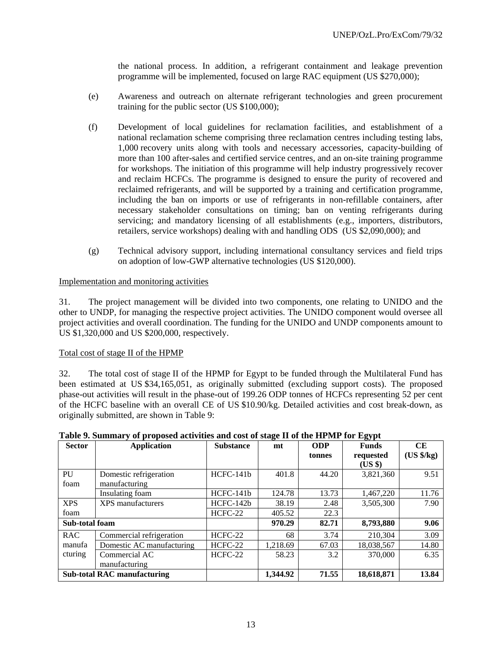the national process. In addition, a refrigerant containment and leakage prevention programme will be implemented, focused on large RAC equipment (US \$270,000);

- (e) Awareness and outreach on alternate refrigerant technologies and green procurement training for the public sector (US \$100,000);
- (f) Development of local guidelines for reclamation facilities, and establishment of a national reclamation scheme comprising three reclamation centres including testing labs, 1,000 recovery units along with tools and necessary accessories, capacity-building of more than 100 after-sales and certified service centres, and an on-site training programme for workshops. The initiation of this programme will help industry progressively recover and reclaim HCFCs. The programme is designed to ensure the purity of recovered and reclaimed refrigerants, and will be supported by a training and certification programme, including the ban on imports or use of refrigerants in non-refillable containers, after necessary stakeholder consultations on timing; ban on venting refrigerants during servicing; and mandatory licensing of all establishments (e.g., importers, distributors, retailers, service workshops) dealing with and handling ODS (US \$2,090,000); and
- (g) Technical advisory support, including international consultancy services and field trips on adoption of low-GWP alternative technologies (US \$120,000).

### Implementation and monitoring activities

31. The project management will be divided into two components, one relating to UNIDO and the other to UNDP, for managing the respective project activities. The UNIDO component would oversee all project activities and overall coordination. The funding for the UNIDO and UNDP components amount to US \$1,320,000 and US \$200,000, respectively.

#### Total cost of stage II of the HPMP

32. The total cost of stage II of the HPMP for Egypt to be funded through the Multilateral Fund has been estimated at US \$34,165,051, as originally submitted (excluding support costs). The proposed phase-out activities will result in the phase-out of 199.26 ODP tonnes of HCFCs representing 52 per cent of the HCFC baseline with an overall CE of US \$10.90/kg. Detailed activities and cost break-down, as originally submitted, are shown in Table 9:

| <b>Sector</b>  | <b>Application</b>                 | <b>Substance</b> | mt       | <b>ODP</b><br>tonnes | <b>Funds</b><br>requested | CE<br>$(US \frac{4}{5}/kg)$ |
|----------------|------------------------------------|------------------|----------|----------------------|---------------------------|-----------------------------|
|                |                                    |                  |          |                      | $(US \$                   |                             |
| PU             | Domestic refrigeration             | HCFC-141b        | 401.8    | 44.20                | 3,821,360                 | 9.51                        |
| foam           | manufacturing                      |                  |          |                      |                           |                             |
|                | Insulating foam                    | HCFC-141b        | 124.78   | 13.73                | 1,467,220                 | 11.76                       |
| <b>XPS</b>     | XPS manufacturers                  | HCFC-142b        | 38.19    | 2.48                 | 3,505,300                 | 7.90                        |
| foam           |                                    | HCFC-22          | 405.52   | 22.3                 |                           |                             |
| Sub-total foam |                                    |                  | 970.29   | 82.71                | 8,793,880                 | 9.06                        |
| <b>RAC</b>     | Commercial refrigeration           | HCFC-22          | 68       | 3.74                 | 210,304                   | 3.09                        |
| manufa         | Domestic AC manufacturing          | HCFC-22          | 1,218.69 | 67.03                | 18,038,567                | 14.80                       |
| cturing        | Commercial AC                      | HCFC-22          | 58.23    | 3.2                  | 370,000                   | 6.35                        |
|                | manufacturing                      |                  |          |                      |                           |                             |
|                | <b>Sub-total RAC manufacturing</b> |                  | 1,344.92 | 71.55                | 18,618,871                | 13.84                       |

Table 9. Summary of proposed activities and cost of stage II of the HPMP for Foynt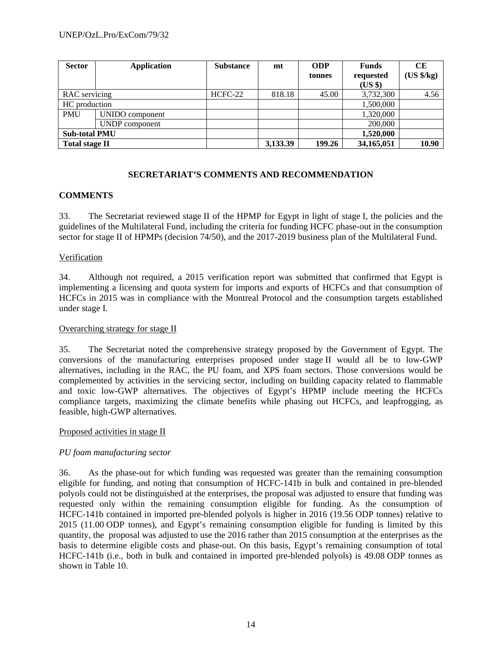| <b>Sector</b>         | <b>Application</b>    | <b>Substance</b> | mt       | <b>ODP</b> | <b>Funds</b> | CЕ                   |
|-----------------------|-----------------------|------------------|----------|------------|--------------|----------------------|
|                       |                       |                  |          | tonnes     | requested    | $(US \frac{6}{5}kg)$ |
|                       |                       |                  |          |            | (US \$)      |                      |
| RAC servicing         |                       | HCFC-22          | 818.18   | 45.00      | 3,732,300    | 4.56                 |
| HC production         |                       |                  |          |            | 1,500,000    |                      |
| <b>PMU</b>            | UNIDO component       |                  |          |            | 1,320,000    |                      |
|                       | <b>UNDP</b> component |                  |          |            | 200,000      |                      |
| <b>Sub-total PMU</b>  |                       |                  |          |            | 1,520,000    |                      |
| <b>Total stage II</b> |                       |                  | 3,133.39 | 199.26     | 34,165,051   | 10.90                |

# **SECRETARIAT'S COMMENTS AND RECOMMENDATION**

# **COMMENTS**

33. The Secretariat reviewed stage II of the HPMP for Egypt in light of stage I, the policies and the guidelines of the Multilateral Fund, including the criteria for funding HCFC phase-out in the consumption sector for stage II of HPMPs (decision 74/50), and the 2017-2019 business plan of the Multilateral Fund.

# Verification

34. Although not required, a 2015 verification report was submitted that confirmed that Egypt is implementing a licensing and quota system for imports and exports of HCFCs and that consumption of HCFCs in 2015 was in compliance with the Montreal Protocol and the consumption targets established under stage I.

# Overarching strategy for stage II

35. The Secretariat noted the comprehensive strategy proposed by the Government of Egypt. The conversions of the manufacturing enterprises proposed under stage II would all be to low-GWP alternatives, including in the RAC, the PU foam, and XPS foam sectors. Those conversions would be complemented by activities in the servicing sector, including on building capacity related to flammable and toxic low-GWP alternatives. The objectives of Egypt's HPMP include meeting the HCFCs compliance targets, maximizing the climate benefits while phasing out HCFCs, and leapfrogging, as feasible, high-GWP alternatives.

# Proposed activities in stage II

# *PU foam manufacturing sector*

36. As the phase-out for which funding was requested was greater than the remaining consumption eligible for funding, and noting that consumption of HCFC-141b in bulk and contained in pre-blended polyols could not be distinguished at the enterprises, the proposal was adjusted to ensure that funding was requested only within the remaining consumption eligible for funding. As the consumption of HCFC-141b contained in imported pre-blended polyols is higher in 2016 (19.56 ODP tonnes) relative to 2015 (11.00 ODP tonnes), and Egypt's remaining consumption eligible for funding is limited by this quantity, the proposal was adjusted to use the 2016 rather than 2015 consumption at the enterprises as the basis to determine eligible costs and phase-out. On this basis, Egypt's remaining consumption of total HCFC-141b (i.e., both in bulk and contained in imported pre-blended polyols) is 49.08 ODP tonnes as shown in Table 10.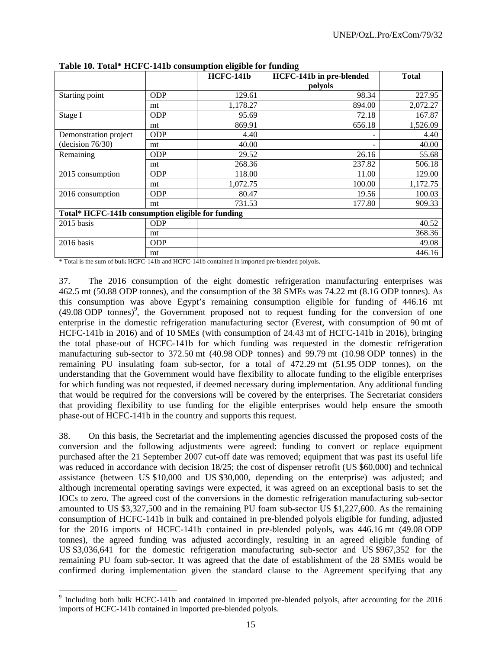|                                                   |            | <b>HCFC-141b</b> | <b>HCFC-141b</b> in pre-blended | <b>Total</b> |
|---------------------------------------------------|------------|------------------|---------------------------------|--------------|
|                                                   |            |                  | polyols                         |              |
| Starting point                                    | <b>ODP</b> | 129.61           | 98.34                           | 227.95       |
|                                                   | mt         | 1,178.27         | 894.00                          | 2,072.27     |
| Stage I                                           | <b>ODP</b> | 95.69            | 72.18                           | 167.87       |
|                                                   | mt         | 869.91           | 656.18                          | 1,526.09     |
| Demonstration project                             | <b>ODP</b> | 4.40             |                                 | 4.40         |
| (decision 76/30)                                  | mt         | 40.00            |                                 | 40.00        |
| Remaining                                         | <b>ODP</b> | 29.52            | 26.16                           | 55.68        |
|                                                   | mt         | 268.36           | 237.82                          | 506.18       |
| 2015 consumption                                  | <b>ODP</b> | 118.00           | 11.00                           | 129.00       |
|                                                   | mt         | 1,072.75         | 100.00                          | 1,172.75     |
| 2016 consumption                                  | <b>ODP</b> | 80.47            | 19.56                           | 100.03       |
|                                                   | mt         | 731.53           | 177.80                          | 909.33       |
| Total* HCFC-141b consumption eligible for funding |            |                  |                                 |              |
| 2015 basis                                        | <b>ODP</b> |                  |                                 | 40.52        |
|                                                   | mt         |                  |                                 | 368.36       |
| 2016 basis                                        | <b>ODP</b> |                  |                                 | 49.08        |
|                                                   | mt         |                  |                                 | 446.16       |

**Table 10. Total\* HCFC-141b consumption eligible for funding** 

\* Total is the sum of bulk HCFC-141b and HCFC-141b contained in imported pre-blended polyols.

37. The 2016 consumption of the eight domestic refrigeration manufacturing enterprises was 462.5 mt (50.88 ODP tonnes), and the consumption of the 38 SMEs was 74.22 mt (8.16 ODP tonnes). As this consumption was above Egypt's remaining consumption eligible for funding of 446.16 mt  $(49.08$  ODP tonnes)<sup>9</sup>, the Government proposed not to request funding for the conversion of one enterprise in the domestic refrigeration manufacturing sector (Everest, with consumption of 90 mt of HCFC-141b in 2016) and of 10 SMEs (with consumption of 24.43 mt of HCFC-141b in 2016), bringing the total phase-out of HCFC-141b for which funding was requested in the domestic refrigeration manufacturing sub-sector to 372.50 mt (40.98 ODP tonnes) and 99.79 mt (10.98 ODP tonnes) in the remaining PU insulating foam sub-sector, for a total of 472.29 mt (51.95 ODP tonnes), on the understanding that the Government would have flexibility to allocate funding to the eligible enterprises for which funding was not requested, if deemed necessary during implementation. Any additional funding that would be required for the conversions will be covered by the enterprises. The Secretariat considers that providing flexibility to use funding for the eligible enterprises would help ensure the smooth phase-out of HCFC-141b in the country and supports this request.

38. On this basis, the Secretariat and the implementing agencies discussed the proposed costs of the conversion and the following adjustments were agreed: funding to convert or replace equipment purchased after the 21 September 2007 cut-off date was removed; equipment that was past its useful life was reduced in accordance with decision  $18/25$ ; the cost of dispenser retrofit (US \$60,000) and technical assistance (between US \$10,000 and US \$30,000, depending on the enterprise) was adjusted; and although incremental operating savings were expected, it was agreed on an exceptional basis to set the IOCs to zero. The agreed cost of the conversions in the domestic refrigeration manufacturing sub-sector amounted to US \$3,327,500 and in the remaining PU foam sub-sector US \$1,227,600. As the remaining consumption of HCFC-141b in bulk and contained in pre-blended polyols eligible for funding, adjusted for the 2016 imports of HCFC-141b contained in pre-blended polyols, was 446.16 mt (49.08 ODP tonnes), the agreed funding was adjusted accordingly, resulting in an agreed eligible funding of US \$3,036,641 for the domestic refrigeration manufacturing sub-sector and US \$967,352 for the remaining PU foam sub-sector. It was agreed that the date of establishment of the 28 SMEs would be confirmed during implementation given the standard clause to the Agreement specifying that any

1

<sup>&</sup>lt;sup>9</sup> Including both bulk HCFC-141b and contained in imported pre-blended polyols, after accounting for the 2016 imports of HCFC-141b contained in imported pre-blended polyols.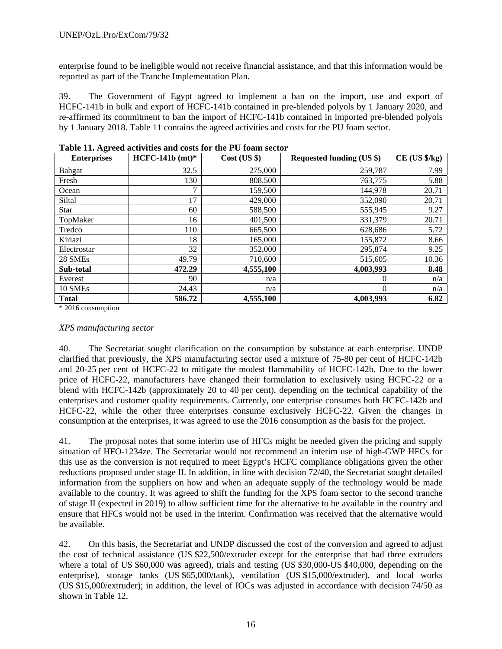enterprise found to be ineligible would not receive financial assistance, and that this information would be reported as part of the Tranche Implementation Plan.

39. The Government of Egypt agreed to implement a ban on the import, use and export of HCFC-141b in bulk and export of HCFC-141b contained in pre-blended polyols by 1 January 2020, and re-affirmed its commitment to ban the import of HCFC-141b contained in imported pre-blended polyols by 1 January 2018. Table 11 contains the agreed activities and costs for the PU foam sector.

| <b>Enterprises</b>  | $HCFC-141b$ (mt)* | $Cost$ (US \$) | <b>Requested funding (US \$)</b> | $CE$ (US $\frac{1}{2}$ /kg) |
|---------------------|-------------------|----------------|----------------------------------|-----------------------------|
| Bahgat              | 32.5              | 275,000        | 259,787                          | 7.99                        |
| Fresh               | 130               | 808,500        | 763,775                          | 5.88                        |
| Ocean               | 7                 | 159,500        | 144.978                          | 20.71                       |
| Siltal              | 17                | 429,000        | 352,090                          | 20.71                       |
| <b>Star</b>         | 60                | 588,500        | 555.945                          | 9.27                        |
| TopMaker            | 16                | 401,500        | 331,379                          | 20.71                       |
| Tredco              | 110               | 665,500        | 628,686                          | 5.72                        |
| Kiriazi             | 18                | 165,000        | 155,872                          | 8.66                        |
| Electrostar         | 32                | 352,000        | 295,874                          | 9.25                        |
| 28 SME <sub>s</sub> | 49.79             | 710,600        | 515,605                          | 10.36                       |
| Sub-total           | 472.29            | 4,555,100      | 4,003,993                        | 8.48                        |
| Everest             | 90                | n/a            | $\Omega$                         | n/a                         |
| 10 SMEs             | 24.43             | n/a            | $\theta$                         | n/a                         |
| <b>Total</b>        | 586.72            | 4,555,100      | 4,003,993                        | 6.82                        |

# \* 2016 consumption

## *XPS manufacturing sector*

40. The Secretariat sought clarification on the consumption by substance at each enterprise. UNDP clarified that previously, the XPS manufacturing sector used a mixture of 75-80 per cent of HCFC-142b and 20-25 per cent of HCFC-22 to mitigate the modest flammability of HCFC-142b. Due to the lower price of HCFC-22, manufacturers have changed their formulation to exclusively using HCFC-22 or a blend with HCFC-142b (approximately 20 to 40 per cent), depending on the technical capability of the enterprises and customer quality requirements. Currently, one enterprise consumes both HCFC-142b and HCFC-22, while the other three enterprises consume exclusively HCFC-22. Given the changes in consumption at the enterprises, it was agreed to use the 2016 consumption as the basis for the project.

41. The proposal notes that some interim use of HFCs might be needed given the pricing and supply situation of HFO-1234ze. The Secretariat would not recommend an interim use of high-GWP HFCs for this use as the conversion is not required to meet Egypt's HCFC compliance obligations given the other reductions proposed under stage II. In addition, in line with decision 72/40, the Secretariat sought detailed information from the suppliers on how and when an adequate supply of the technology would be made available to the country. It was agreed to shift the funding for the XPS foam sector to the second tranche of stage II (expected in 2019) to allow sufficient time for the alternative to be available in the country and ensure that HFCs would not be used in the interim. Confirmation was received that the alternative would be available.

42. On this basis, the Secretariat and UNDP discussed the cost of the conversion and agreed to adjust the cost of technical assistance (US \$22,500/extruder except for the enterprise that had three extruders where a total of US \$60,000 was agreed), trials and testing (US \$30,000-US \$40,000, depending on the enterprise), storage tanks (US \$65,000/tank), ventilation (US \$15,000/extruder), and local works (US \$15,000/extruder); in addition, the level of IOCs was adjusted in accordance with decision 74/50 as shown in Table 12.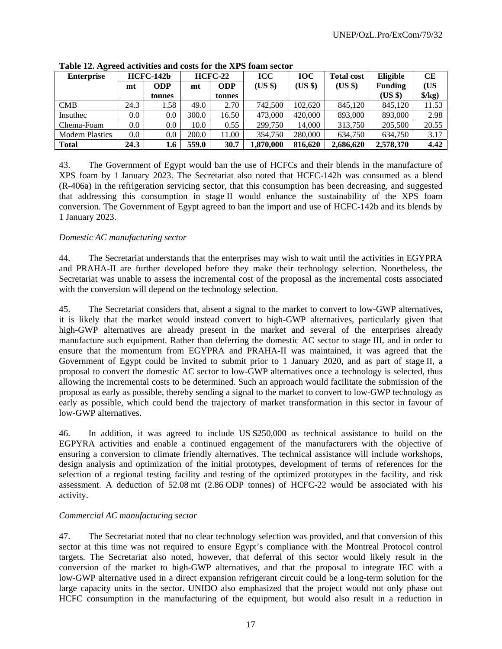| <b>Enterprise</b>      | $HCFC-142b$ |            | $HCFC-22$ |            | <b>ICC</b> | <b>IOC</b>         | <b>Total cost</b> | Eligible       | CE                  |
|------------------------|-------------|------------|-----------|------------|------------|--------------------|-------------------|----------------|---------------------|
|                        | mt          | <b>ODP</b> | mt        | <b>ODP</b> | $(US \$    | $(US \$<br>$(US \$ |                   | <b>Funding</b> | (US                 |
|                        |             | tonnes     |           | tonnes     |            |                    |                   | $(US \$        | $\frac{\delta}{kg}$ |
| <b>CMB</b>             | 24.3        | .58        | 49.0      | 2.70       | 742,500    | 102.620            | 845,120           | 845,120        | 11.53               |
| Insuthec               | $0.0\,$     | $0.0\,$    | 300.0     | 16.50      | 473,000    | 420,000            | 893,000           | 893,000        | 2.98                |
| Chema-Foam             | 0.0         | $0.0\,$    | 10.0      | 0.55       | 299,750    | 14.000             | 313,750           | 205,500        | 20.55               |
| <b>Modern Plastics</b> | $0.0\,$     | 0.0        | 200.0     | 11.00      | 354,750    | 280,000            | 634,750           | 634,750        | 3.17                |
| <b>Total</b>           | 24.3        | 1.6        | 559.0     | 30.7       | 1.870.000  | 816,620            | 2,686,620         | 2,578,370      | 4.42                |

**Table 12. Agreed activities and costs for the XPS foam sector** 

43. The Government of Egypt would ban the use of HCFCs and their blends in the manufacture of XPS foam by 1 January 2023. The Secretariat also noted that HCFC-142b was consumed as a blend (R-406a) in the refrigeration servicing sector, that this consumption has been decreasing, and suggested that addressing this consumption in stage II would enhance the sustainability of the XPS foam conversion. The Government of Egypt agreed to ban the import and use of HCFC-142b and its blends by 1 January 2023.

### *Domestic AC manufacturing sector*

44. The Secretariat understands that the enterprises may wish to wait until the activities in EGYPRA and PRAHA-II are further developed before they make their technology selection. Nonetheless, the Secretariat was unable to assess the incremental cost of the proposal as the incremental costs associated with the conversion will depend on the technology selection.

45. The Secretariat considers that, absent a signal to the market to convert to low-GWP alternatives, it is likely that the market would instead convert to high-GWP alternatives, particularly given that high-GWP alternatives are already present in the market and several of the enterprises already manufacture such equipment. Rather than deferring the domestic AC sector to stage III, and in order to ensure that the momentum from EGYPRA and PRAHA-II was maintained, it was agreed that the Government of Egypt could be invited to submit prior to 1 January 2020, and as part of stage II, a proposal to convert the domestic AC sector to low-GWP alternatives once a technology is selected, thus allowing the incremental costs to be determined. Such an approach would facilitate the submission of the proposal as early as possible, thereby sending a signal to the market to convert to low-GWP technology as early as possible, which could bend the trajectory of market transformation in this sector in favour of low-GWP alternatives.

46. In addition, it was agreed to include US \$250,000 as technical assistance to build on the EGPYRA activities and enable a continued engagement of the manufacturers with the objective of ensuring a conversion to climate friendly alternatives. The technical assistance will include workshops, design analysis and optimization of the initial prototypes, development of terms of references for the selection of a regional testing facility and testing of the optimized prototypes in the facility, and risk assessment. A deduction of 52.08 mt (2.86 ODP tonnes) of HCFC-22 would be associated with his activity.

# *Commercial AC manufacturing sector*

47. The Secretariat noted that no clear technology selection was provided, and that conversion of this sector at this time was not required to ensure Egypt's compliance with the Montreal Protocol control targets. The Secretariat also noted, however, that deferral of this sector would likely result in the conversion of the market to high-GWP alternatives, and that the proposal to integrate IEC with a low-GWP alternative used in a direct expansion refrigerant circuit could be a long-term solution for the large capacity units in the sector. UNIDO also emphasized that the project would not only phase out HCFC consumption in the manufacturing of the equipment, but would also result in a reduction in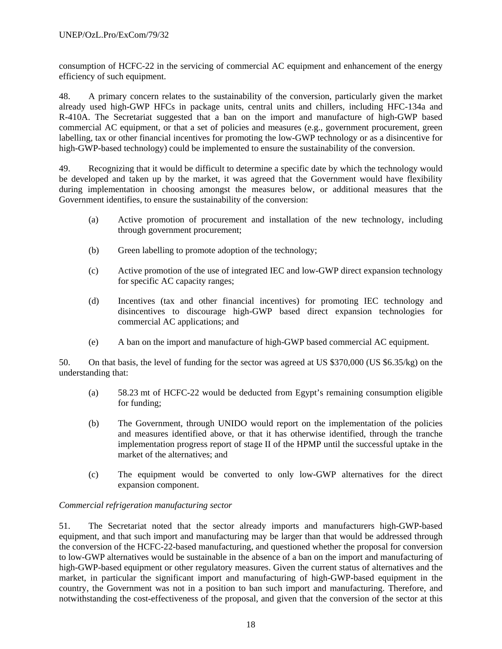consumption of HCFC-22 in the servicing of commercial AC equipment and enhancement of the energy efficiency of such equipment.

48. A primary concern relates to the sustainability of the conversion, particularly given the market already used high-GWP HFCs in package units, central units and chillers, including HFC-134a and R-410A. The Secretariat suggested that a ban on the import and manufacture of high-GWP based commercial AC equipment, or that a set of policies and measures (e.g., government procurement, green labelling, tax or other financial incentives for promoting the low-GWP technology or as a disincentive for high-GWP-based technology) could be implemented to ensure the sustainability of the conversion.

49. Recognizing that it would be difficult to determine a specific date by which the technology would be developed and taken up by the market, it was agreed that the Government would have flexibility during implementation in choosing amongst the measures below, or additional measures that the Government identifies, to ensure the sustainability of the conversion:

- (a) Active promotion of procurement and installation of the new technology, including through government procurement;
- (b) Green labelling to promote adoption of the technology;
- (c) Active promotion of the use of integrated IEC and low-GWP direct expansion technology for specific AC capacity ranges;
- (d) Incentives (tax and other financial incentives) for promoting IEC technology and disincentives to discourage high-GWP based direct expansion technologies for commercial AC applications; and
- (e) A ban on the import and manufacture of high-GWP based commercial AC equipment.

50. On that basis, the level of funding for the sector was agreed at US \$370,000 (US \$6.35/kg) on the understanding that:

- (a) 58.23 mt of HCFC-22 would be deducted from Egypt's remaining consumption eligible for funding;
- (b) The Government, through UNIDO would report on the implementation of the policies and measures identified above, or that it has otherwise identified, through the tranche implementation progress report of stage II of the HPMP until the successful uptake in the market of the alternatives; and
- (c) The equipment would be converted to only low-GWP alternatives for the direct expansion component.

# *Commercial refrigeration manufacturing sector*

51. The Secretariat noted that the sector already imports and manufacturers high-GWP-based equipment, and that such import and manufacturing may be larger than that would be addressed through the conversion of the HCFC-22-based manufacturing, and questioned whether the proposal for conversion to low-GWP alternatives would be sustainable in the absence of a ban on the import and manufacturing of high-GWP-based equipment or other regulatory measures. Given the current status of alternatives and the market, in particular the significant import and manufacturing of high-GWP-based equipment in the country, the Government was not in a position to ban such import and manufacturing. Therefore, and notwithstanding the cost-effectiveness of the proposal, and given that the conversion of the sector at this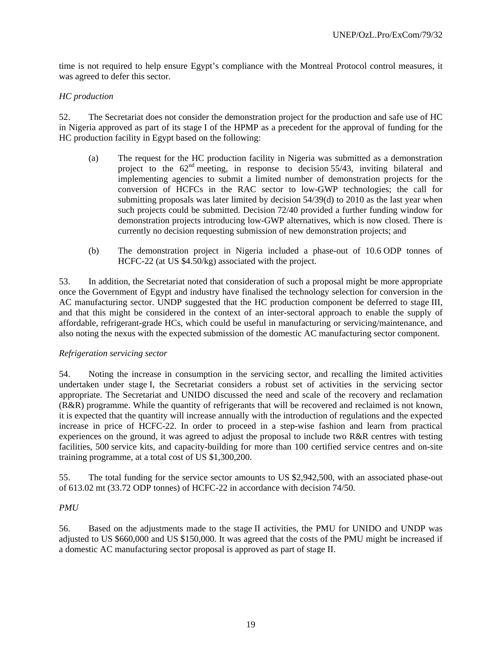time is not required to help ensure Egypt's compliance with the Montreal Protocol control measures, it was agreed to defer this sector.

# *HC production*

52. The Secretariat does not consider the demonstration project for the production and safe use of HC in Nigeria approved as part of its stage I of the HPMP as a precedent for the approval of funding for the HC production facility in Egypt based on the following:

- (a) The request for the HC production facility in Nigeria was submitted as a demonstration project to the  $62<sup>nd</sup>$  meeting, in response to decision 55/43, inviting bilateral and implementing agencies to submit a limited number of demonstration projects for the conversion of HCFCs in the RAC sector to low-GWP technologies; the call for submitting proposals was later limited by decision 54/39(d) to 2010 as the last year when such projects could be submitted. Decision 72/40 provided a further funding window for demonstration projects introducing low-GWP alternatives, which is now closed. There is currently no decision requesting submission of new demonstration projects; and
- (b) The demonstration project in Nigeria included a phase-out of 10.6 ODP tonnes of HCFC-22 (at US \$4.50/kg) associated with the project.

53. In addition, the Secretariat noted that consideration of such a proposal might be more appropriate once the Government of Egypt and industry have finalised the technology selection for conversion in the AC manufacturing sector. UNDP suggested that the HC production component be deferred to stage III, and that this might be considered in the context of an inter-sectoral approach to enable the supply of affordable, refrigerant-grade HCs, which could be useful in manufacturing or servicing/maintenance, and also noting the nexus with the expected submission of the domestic AC manufacturing sector component.

# *Refrigeration servicing sector*

54. Noting the increase in consumption in the servicing sector, and recalling the limited activities undertaken under stage I, the Secretariat considers a robust set of activities in the servicing sector appropriate. The Secretariat and UNIDO discussed the need and scale of the recovery and reclamation (R&R) programme. While the quantity of refrigerants that will be recovered and reclaimed is not known, it is expected that the quantity will increase annually with the introduction of regulations and the expected increase in price of HCFC-22. In order to proceed in a step-wise fashion and learn from practical experiences on the ground, it was agreed to adjust the proposal to include two R&R centres with testing facilities, 500 service kits, and capacity-building for more than 100 certified service centres and on-site training programme, at a total cost of US \$1,300,200.

55. The total funding for the service sector amounts to US \$2,942,500, with an associated phase-out of 613.02 mt (33.72 ODP tonnes) of HCFC-22 in accordance with decision 74/50.

# *PMU*

56. Based on the adjustments made to the stage II activities, the PMU for UNIDO and UNDP was adjusted to US \$660,000 and US \$150,000. It was agreed that the costs of the PMU might be increased if a domestic AC manufacturing sector proposal is approved as part of stage II.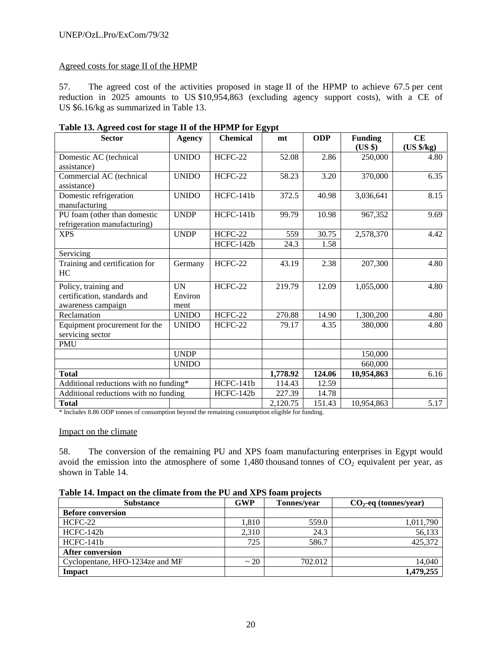# Agreed costs for stage II of the HPMP

57. The agreed cost of the activities proposed in stage II of the HPMP to achieve 67.5 per cent reduction in 2025 amounts to US \$10,954,863 (excluding agency support costs), with a CE of US \$6.16/kg as summarized in Table 13.

| <b>Sector</b>                                                | <b>Agency</b> | <b>Chemical</b> | mt       | <b>ODP</b> | <b>Funding</b><br>(US \$) | CE<br>(US \$/kg) |
|--------------------------------------------------------------|---------------|-----------------|----------|------------|---------------------------|------------------|
| Domestic AC (technical<br>assistance)                        | <b>UNIDO</b>  | HCFC-22         | 52.08    | 2.86       | 250,000                   | 4.80             |
| Commercial AC (technical<br>assistance)                      | <b>UNIDO</b>  | HCFC-22         | 58.23    | 3.20       | 370,000                   | 6.35             |
| Domestic refrigeration<br>manufacturing                      | <b>UNIDO</b>  | HCFC-141b       | 372.5    | 40.98      | 3,036,641                 | 8.15             |
| PU foam (other than domestic<br>refrigeration manufacturing) | <b>UNDP</b>   | HCFC-141b       | 99.79    | 10.98      | 967,352                   | 9.69             |
| <b>XPS</b>                                                   | <b>UNDP</b>   | HCFC-22         | 559      | 30.75      | 2,578,370                 | 4.42             |
|                                                              |               | HCFC-142b       | 24.3     | 1.58       |                           |                  |
| Servicing                                                    |               |                 |          |            |                           |                  |
| Training and certification for<br>HC                         | Germany       | HCFC-22         | 43.19    | 2.38       | 207,300                   | 4.80             |
| Policy, training and                                         | <b>UN</b>     | HCFC-22         | 219.79   | 12.09      | 1,055,000                 | 4.80             |
| certification, standards and                                 | Environ       |                 |          |            |                           |                  |
| awareness campaign                                           | ment          |                 |          |            |                           |                  |
| Reclamation                                                  | <b>UNIDO</b>  | HCFC-22         | 270.88   | 14.90      | 1,300,200                 | 4.80             |
| Equipment procurement for the                                | <b>UNIDO</b>  | HCFC-22         | 79.17    | 4.35       | 380,000                   | 4.80             |
| servicing sector                                             |               |                 |          |            |                           |                  |
| <b>PMU</b>                                                   |               |                 |          |            |                           |                  |
|                                                              | <b>UNDP</b>   |                 |          |            | 150,000                   |                  |
|                                                              | <b>UNIDO</b>  |                 |          |            | 660,000                   |                  |
| <b>Total</b>                                                 |               |                 | 1,778.92 | 124.06     | 10,954,863                | 6.16             |
| Additional reductions with no funding*                       |               | HCFC-141b       | 114.43   | 12.59      |                           |                  |
| Additional reductions with no funding                        |               | HCFC-142b       | 227.39   | 14.78      |                           |                  |
| <b>Total</b>                                                 |               |                 | 2,120.75 | 151.43     | 10,954,863                | 5.17             |

|  |  |  | Table 13. Agreed cost for stage II of the HPMP for Egypt |
|--|--|--|----------------------------------------------------------|
|  |  |  |                                                          |

\* Includes 8.86 ODP tonnes of consumption beyond the remaining consumption eligible for funding.

#### Impact on the climate

58. The conversion of the remaining PU and XPS foam manufacturing enterprises in Egypt would avoid the emission into the atmosphere of some  $1,480$  thousand tonnes of  $CO<sub>2</sub>$  equivalent per year, as shown in Table 14.

| Table In Impact on the chinate if one the F o and ATD foam projects |            |             |                         |  |  |  |  |  |
|---------------------------------------------------------------------|------------|-------------|-------------------------|--|--|--|--|--|
| <b>Substance</b>                                                    | <b>GWP</b> | Tonnes/vear | $CO2$ -eq (tonnes/year) |  |  |  |  |  |
| <b>Before conversion</b>                                            |            |             |                         |  |  |  |  |  |
| HCFC-22                                                             | 1.810      | 559.0       | 1,011,790               |  |  |  |  |  |
| $HCFC-142b$                                                         | 2,310      | 24.3        | 56,133                  |  |  |  |  |  |
| $HCFC-141b$                                                         | 725        | 586.7       | 425,372                 |  |  |  |  |  |
| <b>After conversion</b>                                             |            |             |                         |  |  |  |  |  |
| Cyclopentane, HFO-1234ze and MF                                     | $\sim$ 20  | 702.012     | 14,040                  |  |  |  |  |  |
| Impact                                                              |            |             | 1,479,255               |  |  |  |  |  |

#### **Table 14. Impact on the climate from the PU and XPS foam projects**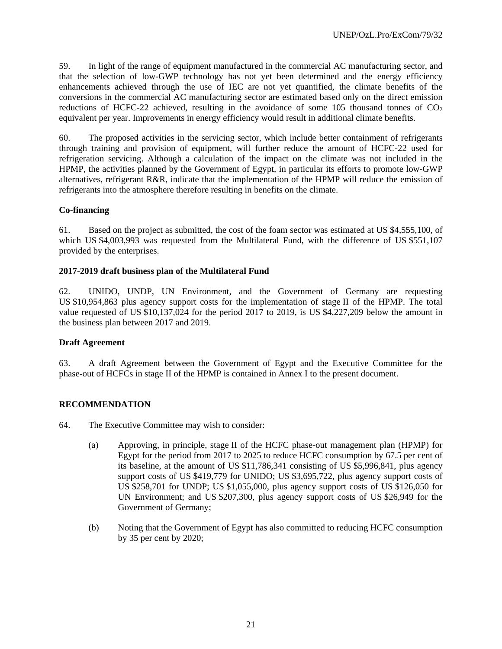59. In light of the range of equipment manufactured in the commercial AC manufacturing sector, and that the selection of low-GWP technology has not yet been determined and the energy efficiency enhancements achieved through the use of IEC are not yet quantified, the climate benefits of the conversions in the commercial AC manufacturing sector are estimated based only on the direct emission reductions of HCFC-22 achieved, resulting in the avoidance of some 105 thousand tonnes of  $CO<sub>2</sub>$ equivalent per year. Improvements in energy efficiency would result in additional climate benefits.

60. The proposed activities in the servicing sector, which include better containment of refrigerants through training and provision of equipment, will further reduce the amount of HCFC-22 used for refrigeration servicing. Although a calculation of the impact on the climate was not included in the HPMP, the activities planned by the Government of Egypt, in particular its efforts to promote low-GWP alternatives, refrigerant R&R, indicate that the implementation of the HPMP will reduce the emission of refrigerants into the atmosphere therefore resulting in benefits on the climate.

# **Co-financing**

61. Based on the project as submitted, the cost of the foam sector was estimated at US \$4,555,100, of which US \$4,003,993 was requested from the Multilateral Fund, with the difference of US \$551,107 provided by the enterprises.

# **2017-2019 draft business plan of the Multilateral Fund**

62. UNIDO, UNDP, UN Environment, and the Government of Germany are requesting US \$10,954,863 plus agency support costs for the implementation of stage II of the HPMP. The total value requested of US \$10,137,024 for the period 2017 to 2019, is US \$4,227,209 below the amount in the business plan between 2017 and 2019.

# **Draft Agreement**

63. A draft Agreement between the Government of Egypt and the Executive Committee for the phase-out of HCFCs in stage II of the HPMP is contained in Annex I to the present document.

# **RECOMMENDATION**

- 64. The Executive Committee may wish to consider:
	- (a) Approving, in principle, stage II of the HCFC phase-out management plan (HPMP) for Egypt for the period from 2017 to 2025 to reduce HCFC consumption by 67.5 per cent of its baseline, at the amount of US \$11,786,341 consisting of US \$5,996,841, plus agency support costs of US \$419,779 for UNIDO; US \$3,695,722, plus agency support costs of US \$258,701 for UNDP; US \$1,055,000, plus agency support costs of US \$126,050 for UN Environment; and US \$207,300, plus agency support costs of US \$26,949 for the Government of Germany;
	- (b) Noting that the Government of Egypt has also committed to reducing HCFC consumption by 35 per cent by 2020;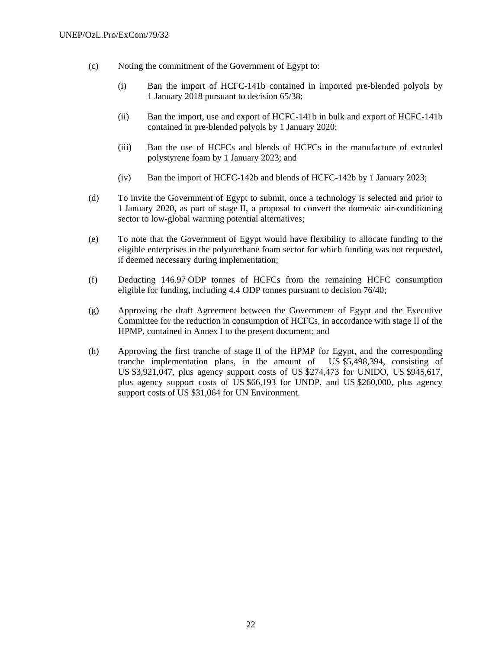- (c) Noting the commitment of the Government of Egypt to:
	- (i) Ban the import of HCFC-141b contained in imported pre-blended polyols by 1 January 2018 pursuant to decision 65/38;
	- (ii) Ban the import, use and export of HCFC-141b in bulk and export of HCFC-141b contained in pre-blended polyols by 1 January 2020;
	- (iii) Ban the use of HCFCs and blends of HCFCs in the manufacture of extruded polystyrene foam by 1 January 2023; and
	- (iv) Ban the import of HCFC-142b and blends of HCFC-142b by 1 January 2023;
- (d) To invite the Government of Egypt to submit, once a technology is selected and prior to 1 January 2020, as part of stage II, a proposal to convert the domestic air-conditioning sector to low-global warming potential alternatives;
- (e) To note that the Government of Egypt would have flexibility to allocate funding to the eligible enterprises in the polyurethane foam sector for which funding was not requested, if deemed necessary during implementation;
- (f) Deducting 146.97 ODP tonnes of HCFCs from the remaining HCFC consumption eligible for funding, including 4.4 ODP tonnes pursuant to decision 76/40;
- (g) Approving the draft Agreement between the Government of Egypt and the Executive Committee for the reduction in consumption of HCFCs, in accordance with stage II of the HPMP, contained in Annex I to the present document; and
- (h) Approving the first tranche of stage II of the HPMP for Egypt, and the corresponding tranche implementation plans, in the amount of US \$5,498,394, consisting of US \$3,921,047, plus agency support costs of US \$274,473 for UNIDO, US \$945,617, plus agency support costs of US \$66,193 for UNDP, and US \$260,000, plus agency support costs of US \$31,064 for UN Environment.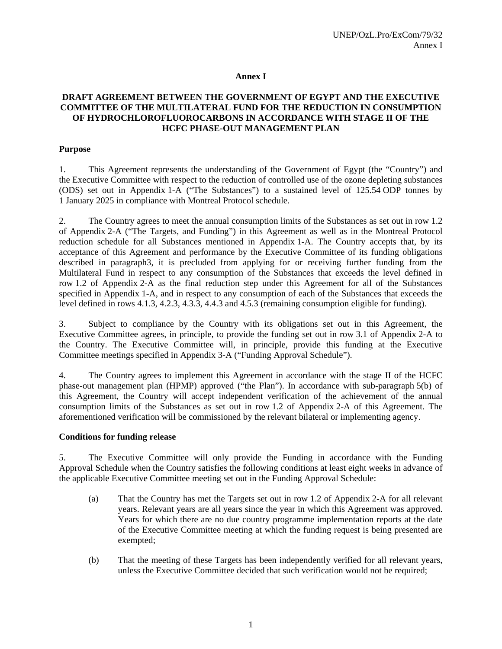# **Annex I**

# **DRAFT AGREEMENT BETWEEN THE GOVERNMENT OF EGYPT AND THE EXECUTIVE COMMITTEE OF THE MULTILATERAL FUND FOR THE REDUCTION IN CONSUMPTION OF HYDROCHLOROFLUOROCARBONS IN ACCORDANCE WITH STAGE II OF THE HCFC PHASE-OUT MANAGEMENT PLAN**

# **Purpose**

1. This Agreement represents the understanding of the Government of Egypt (the "Country") and the Executive Committee with respect to the reduction of controlled use of the ozone depleting substances (ODS) set out in Appendix 1-A ("The Substances") to a sustained level of 125.54 ODP tonnes by 1 January 2025 in compliance with Montreal Protocol schedule.

2. The Country agrees to meet the annual consumption limits of the Substances as set out in row 1.2 of Appendix 2-A ("The Targets, and Funding") in this Agreement as well as in the Montreal Protocol reduction schedule for all Substances mentioned in Appendix 1-A. The Country accepts that, by its acceptance of this Agreement and performance by the Executive Committee of its funding obligations described in paragraph3, it is precluded from applying for or receiving further funding from the Multilateral Fund in respect to any consumption of the Substances that exceeds the level defined in row 1.2 of Appendix 2-A as the final reduction step under this Agreement for all of the Substances specified in Appendix 1-A, and in respect to any consumption of each of the Substances that exceeds the level defined in rows 4.1.3, 4.2.3, 4.3.3, 4.4.3 and 4.5.3 (remaining consumption eligible for funding).

3. Subject to compliance by the Country with its obligations set out in this Agreement, the Executive Committee agrees, in principle, to provide the funding set out in row 3.1 of Appendix 2-A to the Country. The Executive Committee will, in principle, provide this funding at the Executive Committee meetings specified in Appendix 3-A ("Funding Approval Schedule").

4. The Country agrees to implement this Agreement in accordance with the stage II of the HCFC phase-out management plan (HPMP) approved ("the Plan"). In accordance with sub-paragraph 5(b) of this Agreement, the Country will accept independent verification of the achievement of the annual consumption limits of the Substances as set out in row 1.2 of Appendix 2-A of this Agreement. The aforementioned verification will be commissioned by the relevant bilateral or implementing agency.

#### **Conditions for funding release**

5. The Executive Committee will only provide the Funding in accordance with the Funding Approval Schedule when the Country satisfies the following conditions at least eight weeks in advance of the applicable Executive Committee meeting set out in the Funding Approval Schedule:

- (a) That the Country has met the Targets set out in row 1.2 of Appendix 2-A for all relevant years. Relevant years are all years since the year in which this Agreement was approved. Years for which there are no due country programme implementation reports at the date of the Executive Committee meeting at which the funding request is being presented are exempted;
- (b) That the meeting of these Targets has been independently verified for all relevant years, unless the Executive Committee decided that such verification would not be required;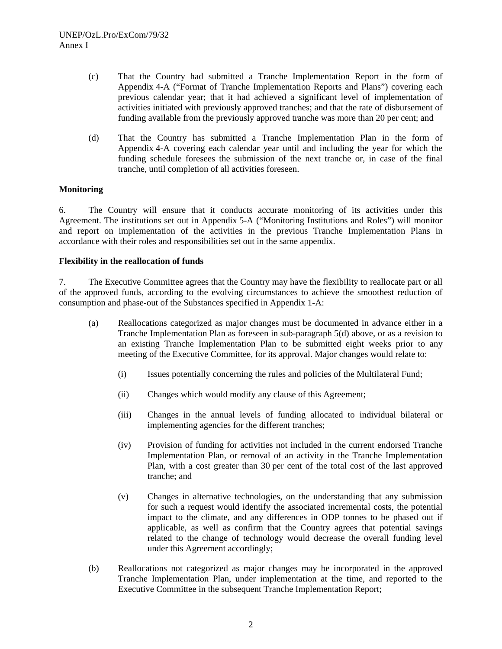- (c) That the Country had submitted a Tranche Implementation Report in the form of Appendix 4-A ("Format of Tranche Implementation Reports and Plans") covering each previous calendar year; that it had achieved a significant level of implementation of activities initiated with previously approved tranches; and that the rate of disbursement of funding available from the previously approved tranche was more than 20 per cent; and
- (d) That the Country has submitted a Tranche Implementation Plan in the form of Appendix 4-A covering each calendar year until and including the year for which the funding schedule foresees the submission of the next tranche or, in case of the final tranche, until completion of all activities foreseen.

# **Monitoring**

6. The Country will ensure that it conducts accurate monitoring of its activities under this Agreement. The institutions set out in Appendix 5-A ("Monitoring Institutions and Roles") will monitor and report on implementation of the activities in the previous Tranche Implementation Plans in accordance with their roles and responsibilities set out in the same appendix.

# **Flexibility in the reallocation of funds**

7. The Executive Committee agrees that the Country may have the flexibility to reallocate part or all of the approved funds, according to the evolving circumstances to achieve the smoothest reduction of consumption and phase-out of the Substances specified in Appendix 1-A:

- (a) Reallocations categorized as major changes must be documented in advance either in a Tranche Implementation Plan as foreseen in sub-paragraph 5(d) above, or as a revision to an existing Tranche Implementation Plan to be submitted eight weeks prior to any meeting of the Executive Committee, for its approval. Major changes would relate to:
	- (i) Issues potentially concerning the rules and policies of the Multilateral Fund;
	- (ii) Changes which would modify any clause of this Agreement;
	- (iii) Changes in the annual levels of funding allocated to individual bilateral or implementing agencies for the different tranches;
	- (iv) Provision of funding for activities not included in the current endorsed Tranche Implementation Plan, or removal of an activity in the Tranche Implementation Plan, with a cost greater than 30 per cent of the total cost of the last approved tranche; and
	- (v) Changes in alternative technologies, on the understanding that any submission for such a request would identify the associated incremental costs, the potential impact to the climate, and any differences in ODP tonnes to be phased out if applicable, as well as confirm that the Country agrees that potential savings related to the change of technology would decrease the overall funding level under this Agreement accordingly;
- (b) Reallocations not categorized as major changes may be incorporated in the approved Tranche Implementation Plan, under implementation at the time, and reported to the Executive Committee in the subsequent Tranche Implementation Report;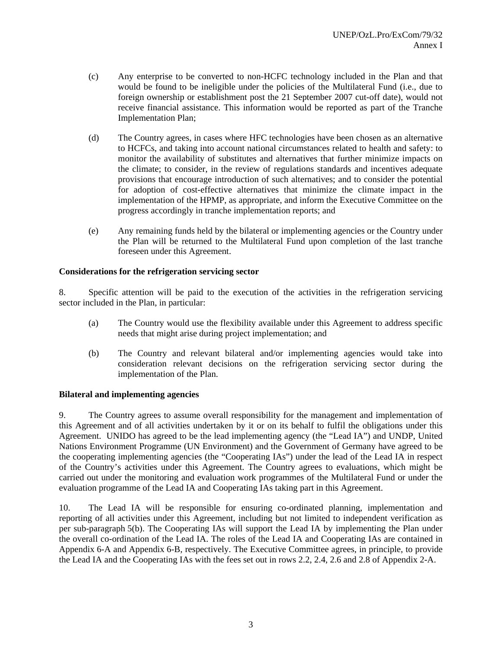- (c) Any enterprise to be converted to non-HCFC technology included in the Plan and that would be found to be ineligible under the policies of the Multilateral Fund (i.e., due to foreign ownership or establishment post the 21 September 2007 cut-off date), would not receive financial assistance. This information would be reported as part of the Tranche Implementation Plan;
- (d) The Country agrees, in cases where HFC technologies have been chosen as an alternative to HCFCs, and taking into account national circumstances related to health and safety: to monitor the availability of substitutes and alternatives that further minimize impacts on the climate; to consider, in the review of regulations standards and incentives adequate provisions that encourage introduction of such alternatives; and to consider the potential for adoption of cost-effective alternatives that minimize the climate impact in the implementation of the HPMP, as appropriate, and inform the Executive Committee on the progress accordingly in tranche implementation reports; and
- (e) Any remaining funds held by the bilateral or implementing agencies or the Country under the Plan will be returned to the Multilateral Fund upon completion of the last tranche foreseen under this Agreement.

# **Considerations for the refrigeration servicing sector**

8. Specific attention will be paid to the execution of the activities in the refrigeration servicing sector included in the Plan, in particular:

- (a) The Country would use the flexibility available under this Agreement to address specific needs that might arise during project implementation; and
- (b) The Country and relevant bilateral and/or implementing agencies would take into consideration relevant decisions on the refrigeration servicing sector during the implementation of the Plan.

# **Bilateral and implementing agencies**

9. The Country agrees to assume overall responsibility for the management and implementation of this Agreement and of all activities undertaken by it or on its behalf to fulfil the obligations under this Agreement. UNIDO has agreed to be the lead implementing agency (the "Lead IA") and UNDP, United Nations Environment Programme (UN Environment) and the Government of Germany have agreed to be the cooperating implementing agencies (the "Cooperating IAs") under the lead of the Lead IA in respect of the Country's activities under this Agreement. The Country agrees to evaluations, which might be carried out under the monitoring and evaluation work programmes of the Multilateral Fund or under the evaluation programme of the Lead IA and Cooperating IAs taking part in this Agreement.

10. The Lead IA will be responsible for ensuring co-ordinated planning, implementation and reporting of all activities under this Agreement, including but not limited to independent verification as per sub-paragraph 5(b). The Cooperating IAs will support the Lead IA by implementing the Plan under the overall co-ordination of the Lead IA. The roles of the Lead IA and Cooperating IAs are contained in Appendix 6-A and Appendix 6-B, respectively. The Executive Committee agrees, in principle, to provide the Lead IA and the Cooperating IAs with the fees set out in rows 2.2, 2.4, 2.6 and 2.8 of Appendix 2-A.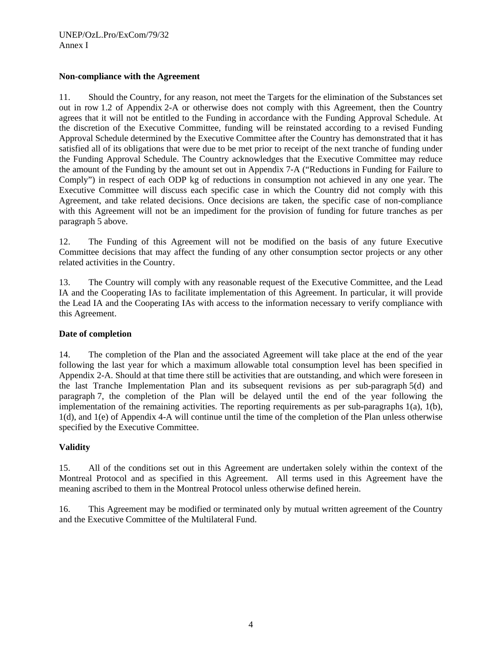# **Non-compliance with the Agreement**

11. Should the Country, for any reason, not meet the Targets for the elimination of the Substances set out in row 1.2 of Appendix 2-A or otherwise does not comply with this Agreement, then the Country agrees that it will not be entitled to the Funding in accordance with the Funding Approval Schedule. At the discretion of the Executive Committee, funding will be reinstated according to a revised Funding Approval Schedule determined by the Executive Committee after the Country has demonstrated that it has satisfied all of its obligations that were due to be met prior to receipt of the next tranche of funding under the Funding Approval Schedule. The Country acknowledges that the Executive Committee may reduce the amount of the Funding by the amount set out in Appendix 7-A ("Reductions in Funding for Failure to Comply") in respect of each ODP kg of reductions in consumption not achieved in any one year. The Executive Committee will discuss each specific case in which the Country did not comply with this Agreement, and take related decisions. Once decisions are taken, the specific case of non-compliance with this Agreement will not be an impediment for the provision of funding for future tranches as per paragraph 5 above.

12. The Funding of this Agreement will not be modified on the basis of any future Executive Committee decisions that may affect the funding of any other consumption sector projects or any other related activities in the Country.

13. The Country will comply with any reasonable request of the Executive Committee, and the Lead IA and the Cooperating IAs to facilitate implementation of this Agreement. In particular, it will provide the Lead IA and the Cooperating IAs with access to the information necessary to verify compliance with this Agreement.

# **Date of completion**

14. The completion of the Plan and the associated Agreement will take place at the end of the year following the last year for which a maximum allowable total consumption level has been specified in Appendix 2-A. Should at that time there still be activities that are outstanding, and which were foreseen in the last Tranche Implementation Plan and its subsequent revisions as per sub-paragraph 5(d) and paragraph 7, the completion of the Plan will be delayed until the end of the year following the implementation of the remaining activities. The reporting requirements as per sub-paragraphs 1(a), 1(b), 1(d), and 1(e) of Appendix 4-A will continue until the time of the completion of the Plan unless otherwise specified by the Executive Committee.

# **Validity**

15. All of the conditions set out in this Agreement are undertaken solely within the context of the Montreal Protocol and as specified in this Agreement. All terms used in this Agreement have the meaning ascribed to them in the Montreal Protocol unless otherwise defined herein.

16. This Agreement may be modified or terminated only by mutual written agreement of the Country and the Executive Committee of the Multilateral Fund.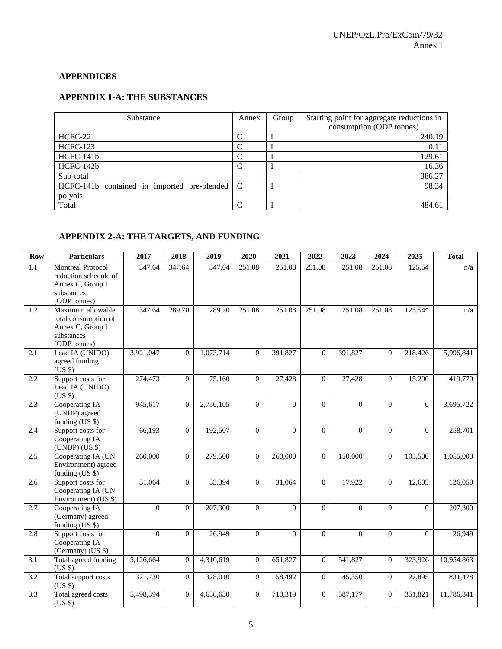# **APPENDICES**

# **APPENDIX 1-A: THE SUBSTANCES**

| Substance                                            | Annex                       | Group | Starting point for aggregate reductions in |
|------------------------------------------------------|-----------------------------|-------|--------------------------------------------|
|                                                      |                             |       | consumption (ODP tonnes)                   |
| HCFC-22                                              |                             |       | 240.19                                     |
| <b>HCFC-123</b>                                      | $\mathcal{C}_{\mathcal{C}}$ |       | 0.11                                       |
| HCFC-141b                                            | C                           |       | 129.61                                     |
| HCFC-142b                                            | C                           |       | 16.36                                      |
| Sub-total                                            |                             |       | 386.27                                     |
| HCFC-141b contained in imported pre-blended $\mid$ C |                             |       | 98.34                                      |
| polyols                                              |                             |       |                                            |
| Total                                                | $\Gamma$                    |       | 484.61                                     |

# **APPENDIX 2-A: THE TARGETS, AND FUNDING**

| <b>Row</b>       | <b>Particulars</b>                                                                                  | 2017      | 2018           | 2019      | 2020           | 2021         | 2022           | 2023     | 2024           | 2025           | <b>Total</b> |
|------------------|-----------------------------------------------------------------------------------------------------|-----------|----------------|-----------|----------------|--------------|----------------|----------|----------------|----------------|--------------|
| 1.1              | <b>Montreal Protocol</b><br>reduction schedule of<br>Annex C, Group I<br>substances<br>(ODP tonnes) | 347.64    | 347.64         | 347.64    | 251.08         | 251.08       | 251.08         | 251.08   | 251.08         | 125.54         | n/a          |
| 1.2              | Maximum allowable<br>total consumption of<br>Annex C, Group I<br>substances<br>(ODP tonnes)         | 347.64    | 289.70         | 289.70    | 251.08         | 251.08       | 251.08         | 251.08   | 251.08         | 125.54*        | n/a          |
| 2.1              | Lead IA (UNIDO)<br>agreed funding<br>(US S)                                                         | 3,921,047 | $\overline{0}$ | 1,073,714 | $\theta$       | 391,827      | $\Omega$       | 391,827  | $\Omega$       | 218,426        | 5,996,841    |
| 2.2              | Support costs for<br>Lead IA (UNIDO)<br>(US S)                                                      | 274,473   | $\Omega$       | 75,160    | $\theta$       | 27,428       | $\Omega$       | 27,428   | $\Omega$       | 15,290         | 419,779      |
| 2.3              | Cooperating IA<br>(UNDP) agreed<br>funding (US \$)                                                  | 945,617   | $\overline{0}$ | 2,750,105 | $\overline{0}$ | $\mathbf{0}$ | $\overline{0}$ | $\Omega$ | $\theta$       | $\overline{0}$ | 3,695,722    |
| 2.4              | Support costs for<br>Cooperating IA<br>(UNDP) (US \$)                                               | 66,193    | $\overline{0}$ | 192,507   | $\overline{0}$ | $\Omega$     | $\Omega$       | $\Omega$ | $\mathbf{0}$   | $\Omega$       | 258,701      |
| 2.5              | Cooperating IA (UN<br>Environment) agreed<br>funding (US \$)                                        | 260,000   | $\overline{0}$ | 279,500   | $\mathbf{0}$   | 260,000      | $\Omega$       | 150,000  | $\mathbf{0}$   | 105,500        | 1,055,000    |
| 2.6              | Support costs for<br>Cooperating IA (UN<br>Environment) (US \$)                                     | 31,064    | $\Omega$       | 33,394    | $\Omega$       | 31,064       | $\Omega$       | 17,922   | $\Omega$       | 12,605         | 126,050      |
| 2.7              | Cooperating IA<br>(Germany) agreed<br>funding (US \$)                                               | $\Omega$  | $\Omega$       | 207,300   | $\Omega$       | $\Omega$     | $\Omega$       | $\Omega$ | $\Omega$       | $\Omega$       | 207,300      |
| 2.8              | Support costs for<br>Cooperating IA<br>(Germany) (US \$)                                            | $\Omega$  | $\overline{0}$ | 26,949    | $\mathbf{0}$   | $\Omega$     | $\Omega$       | $\Omega$ | $\Omega$       | $\Omega$       | 26,949       |
| 3.1              | Total agreed funding<br>(US S)                                                                      | 5,126,664 | $\overline{0}$ | 4,310,619 | $\overline{0}$ | 651,827      | $\Omega$       | 541,827  | $\theta$       | 323,926        | 10,954,863   |
| $\overline{3.2}$ | Total support costs<br>(US \$)                                                                      | 371,730   | $\mathbf{0}$   | 328,010   | $\overline{0}$ | 58,492       | $\overline{0}$ | 45,350   | $\mathbf{0}$   | 27,895         | 831,478      |
| 3.3              | Total agreed costs<br>(US \$)                                                                       | 5,498,394 | $\overline{0}$ | 4,638,630 | $\overline{0}$ | 710,319      | $\Omega$       | 587,177  | $\overline{0}$ | 351,821        | 11,786,341   |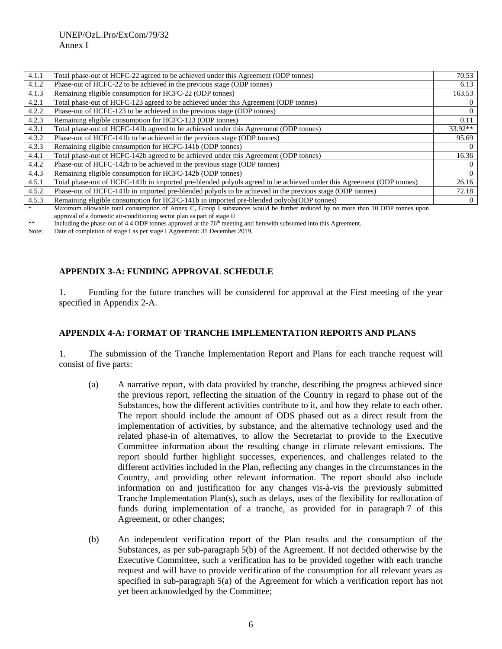| 4.1.1 | Total phase-out of HCFC-22 agreed to be achieved under this Agreement (ODP tonnes)                                             | 70.53          |
|-------|--------------------------------------------------------------------------------------------------------------------------------|----------------|
| 4.1.2 | Phase-out of HCFC-22 to be achieved in the previous stage (ODP tonnes)                                                         | 6.13           |
| 4.1.3 | Remaining eligible consumption for HCFC-22 (ODP tonnes)                                                                        | 163.53         |
| 4.2.1 | Total phase-out of HCFC-123 agreed to be achieved under this Agreement (ODP tonnes)                                            | $\bf{0}$       |
| 4.2.2 | Phase-out of HCFC-123 to be achieved in the previous stage (ODP tonnes)                                                        | $\overline{0}$ |
| 4.2.3 | Remaining eligible consumption for HCFC-123 (ODP tonnes)                                                                       | 0.11           |
| 4.3.1 | Total phase-out of HCFC-141b agreed to be achieved under this Agreement (ODP tonnes)                                           | $33.92**$      |
| 4.3.2 | Phase-out of HCFC-141b to be achieved in the previous stage (ODP tonnes)                                                       | 95.69          |
| 4.3.3 | Remaining eligible consumption for HCFC-141b (ODP tonnes)                                                                      | $\Omega$       |
| 4.4.1 | Total phase-out of HCFC-142b agreed to be achieved under this Agreement (ODP tonnes)                                           | 16.36          |
| 4.4.2 | Phase-out of HCFC-142b to be achieved in the previous stage (ODP tonnes)                                                       | $\overline{0}$ |
| 4.4.3 | Remaining eligible consumption for HCFC-142b (ODP tonnes)                                                                      | $\Omega$       |
| 4.5.1 | Total phase-out of HCFC-141b in imported pre-blended polyols agreed to be achieved under this Agreement (ODP tonnes)           | 26.16          |
| 4.5.2 | Phase-out of HCFC-141b in imported pre-blended polyols to be achieved in the previous stage (ODP tonnes)                       | 72.18          |
| 4.5.3 | Remaining eligible consumption for HCFC-141b in imported pre-blended polyols (ODP tonnes)                                      | $\overline{0}$ |
| *     | Maximum allowable total consumption of Annex C, Group I substances would be further reduced by no more than 10 ODP tonnes upon |                |

Maximum allowable total consumption of Annex C, Group I substances would be further reduced by no more than 10 ODP tonnes upon

approval of a domestic air-conditioning sector plan as part of stage II

\*\* Including the phase-out of 4.4 ODP tonnes approved at the  $76<sup>th</sup>$  meeting and herewith subsumed into this Agreement.

Note: Date of completion of stage I as per stage I Agreement: 31 December 2019.

### **APPENDIX 3-A: FUNDING APPROVAL SCHEDULE**

1. Funding for the future tranches will be considered for approval at the First meeting of the year specified in Appendix 2-A.

#### **APPENDIX 4-A: FORMAT OF TRANCHE IMPLEMENTATION REPORTS AND PLANS**

1. The submission of the Tranche Implementation Report and Plans for each tranche request will consist of five parts:

- (a) A narrative report, with data provided by tranche, describing the progress achieved since the previous report, reflecting the situation of the Country in regard to phase out of the Substances, how the different activities contribute to it, and how they relate to each other. The report should include the amount of ODS phased out as a direct result from the implementation of activities, by substance, and the alternative technology used and the related phase-in of alternatives, to allow the Secretariat to provide to the Executive Committee information about the resulting change in climate relevant emissions. The report should further highlight successes, experiences, and challenges related to the different activities included in the Plan, reflecting any changes in the circumstances in the Country, and providing other relevant information. The report should also include information on and justification for any changes vis-à-vis the previously submitted Tranche Implementation Plan(s), such as delays, uses of the flexibility for reallocation of funds during implementation of a tranche, as provided for in paragraph 7 of this Agreement, or other changes;
- (b) An independent verification report of the Plan results and the consumption of the Substances, as per sub-paragraph 5(b) of the Agreement. If not decided otherwise by the Executive Committee, such a verification has to be provided together with each tranche request and will have to provide verification of the consumption for all relevant years as specified in sub-paragraph 5(a) of the Agreement for which a verification report has not yet been acknowledged by the Committee;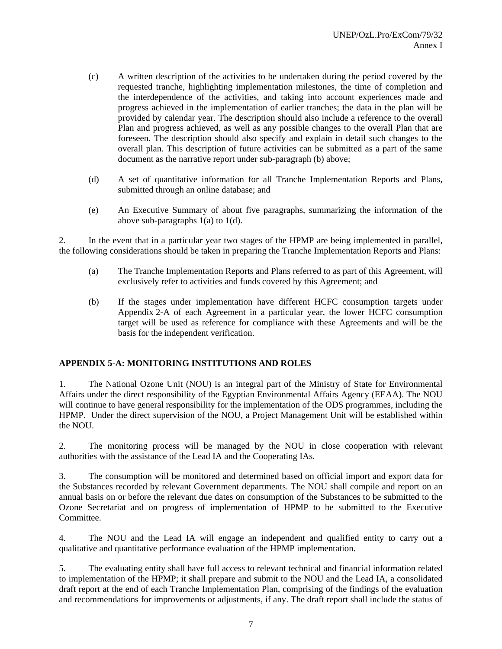- (c) A written description of the activities to be undertaken during the period covered by the requested tranche, highlighting implementation milestones, the time of completion and the interdependence of the activities, and taking into account experiences made and progress achieved in the implementation of earlier tranches; the data in the plan will be provided by calendar year. The description should also include a reference to the overall Plan and progress achieved, as well as any possible changes to the overall Plan that are foreseen. The description should also specify and explain in detail such changes to the overall plan. This description of future activities can be submitted as a part of the same document as the narrative report under sub-paragraph (b) above;
- (d) A set of quantitative information for all Tranche Implementation Reports and Plans, submitted through an online database; and
- (e) An Executive Summary of about five paragraphs, summarizing the information of the above sub-paragraphs 1(a) to 1(d).

2. In the event that in a particular year two stages of the HPMP are being implemented in parallel, the following considerations should be taken in preparing the Tranche Implementation Reports and Plans:

- (a) The Tranche Implementation Reports and Plans referred to as part of this Agreement, will exclusively refer to activities and funds covered by this Agreement; and
- (b) If the stages under implementation have different HCFC consumption targets under Appendix 2-A of each Agreement in a particular year, the lower HCFC consumption target will be used as reference for compliance with these Agreements and will be the basis for the independent verification.

# **APPENDIX 5-A: MONITORING INSTITUTIONS AND ROLES**

1. The National Ozone Unit (NOU) is an integral part of the Ministry of State for Environmental Affairs under the direct responsibility of the Egyptian Environmental Affairs Agency (EEAA). The NOU will continue to have general responsibility for the implementation of the ODS programmes, including the HPMP. Under the direct supervision of the NOU, a Project Management Unit will be established within the NOU.

2. The monitoring process will be managed by the NOU in close cooperation with relevant authorities with the assistance of the Lead IA and the Cooperating IAs.

3. The consumption will be monitored and determined based on official import and export data for the Substances recorded by relevant Government departments. The NOU shall compile and report on an annual basis on or before the relevant due dates on consumption of the Substances to be submitted to the Ozone Secretariat and on progress of implementation of HPMP to be submitted to the Executive **Committee** 

4. The NOU and the Lead IA will engage an independent and qualified entity to carry out a qualitative and quantitative performance evaluation of the HPMP implementation.

5. The evaluating entity shall have full access to relevant technical and financial information related to implementation of the HPMP; it shall prepare and submit to the NOU and the Lead IA, a consolidated draft report at the end of each Tranche Implementation Plan, comprising of the findings of the evaluation and recommendations for improvements or adjustments, if any. The draft report shall include the status of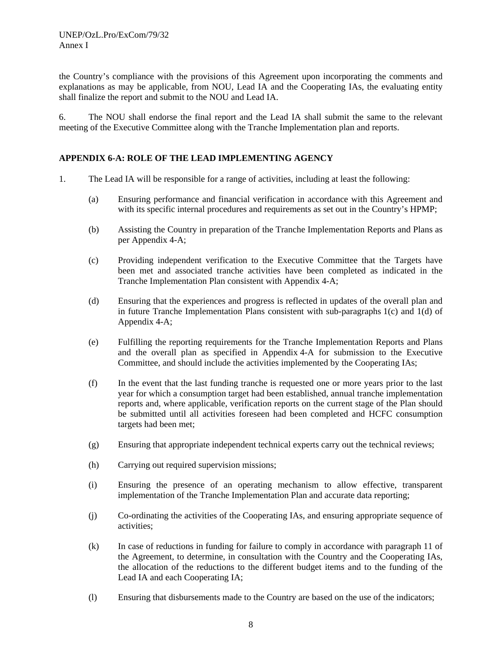the Country's compliance with the provisions of this Agreement upon incorporating the comments and explanations as may be applicable, from NOU, Lead IA and the Cooperating IAs, the evaluating entity shall finalize the report and submit to the NOU and Lead IA.

6. The NOU shall endorse the final report and the Lead IA shall submit the same to the relevant meeting of the Executive Committee along with the Tranche Implementation plan and reports.

# **APPENDIX 6-A: ROLE OF THE LEAD IMPLEMENTING AGENCY**

- 1. The Lead IA will be responsible for a range of activities, including at least the following:
	- (a) Ensuring performance and financial verification in accordance with this Agreement and with its specific internal procedures and requirements as set out in the Country's HPMP;
	- (b) Assisting the Country in preparation of the Tranche Implementation Reports and Plans as per Appendix 4-A;
	- (c) Providing independent verification to the Executive Committee that the Targets have been met and associated tranche activities have been completed as indicated in the Tranche Implementation Plan consistent with Appendix 4-A;
	- (d) Ensuring that the experiences and progress is reflected in updates of the overall plan and in future Tranche Implementation Plans consistent with sub-paragraphs 1(c) and 1(d) of Appendix 4-A;
	- (e) Fulfilling the reporting requirements for the Tranche Implementation Reports and Plans and the overall plan as specified in Appendix 4-A for submission to the Executive Committee, and should include the activities implemented by the Cooperating IAs;
	- (f) In the event that the last funding tranche is requested one or more years prior to the last year for which a consumption target had been established, annual tranche implementation reports and, where applicable, verification reports on the current stage of the Plan should be submitted until all activities foreseen had been completed and HCFC consumption targets had been met;
	- (g) Ensuring that appropriate independent technical experts carry out the technical reviews;
	- (h) Carrying out required supervision missions;
	- (i) Ensuring the presence of an operating mechanism to allow effective, transparent implementation of the Tranche Implementation Plan and accurate data reporting;
	- (j) Co-ordinating the activities of the Cooperating IAs, and ensuring appropriate sequence of activities;
	- (k) In case of reductions in funding for failure to comply in accordance with paragraph 11 of the Agreement, to determine, in consultation with the Country and the Cooperating IAs, the allocation of the reductions to the different budget items and to the funding of the Lead IA and each Cooperating IA;
	- (l) Ensuring that disbursements made to the Country are based on the use of the indicators;